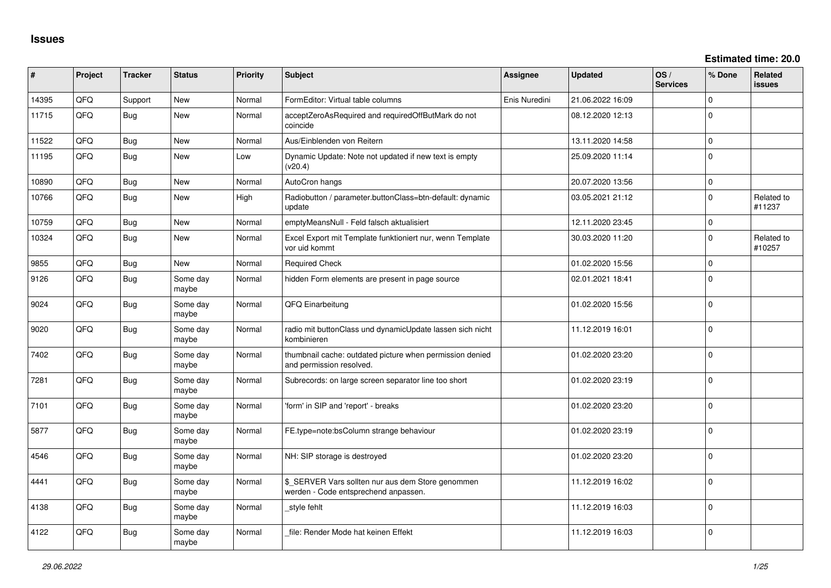**Estimated time: 20.0**

| ∦     | Project | <b>Tracker</b> | <b>Status</b>     | <b>Priority</b> | <b>Subject</b>                                                                            | Assignee      | Updated          | OS/<br><b>Services</b> | % Done      | Related<br>issues    |
|-------|---------|----------------|-------------------|-----------------|-------------------------------------------------------------------------------------------|---------------|------------------|------------------------|-------------|----------------------|
| 14395 | QFQ     | Support        | New               | Normal          | FormEditor: Virtual table columns                                                         | Enis Nuredini | 21.06.2022 16:09 |                        | $\Omega$    |                      |
| 11715 | QFQ     | Bug            | <b>New</b>        | Normal          | acceptZeroAsRequired and requiredOffButMark do not<br>coincide                            |               | 08.12.2020 12:13 |                        | $\Omega$    |                      |
| 11522 | QFQ     | Bug            | New               | Normal          | Aus/Einblenden von Reitern                                                                |               | 13.11.2020 14:58 |                        | $\Omega$    |                      |
| 11195 | QFQ     | Bug            | <b>New</b>        | Low             | Dynamic Update: Note not updated if new text is empty<br>(v20.4)                          |               | 25.09.2020 11:14 |                        | $\Omega$    |                      |
| 10890 | QFQ     | Bug            | <b>New</b>        | Normal          | AutoCron hangs                                                                            |               | 20.07.2020 13:56 |                        | $\Omega$    |                      |
| 10766 | QFQ     | Bug            | <b>New</b>        | High            | Radiobutton / parameter.buttonClass=btn-default: dynamic<br>update                        |               | 03.05.2021 21:12 |                        | $\Omega$    | Related to<br>#11237 |
| 10759 | QFQ     | Bug            | <b>New</b>        | Normal          | emptyMeansNull - Feld falsch aktualisiert                                                 |               | 12.11.2020 23:45 |                        | $\Omega$    |                      |
| 10324 | QFQ     | Bug            | New               | Normal          | Excel Export mit Template funktioniert nur, wenn Template<br>vor uid kommt                |               | 30.03.2020 11:20 |                        | $\Omega$    | Related to<br>#10257 |
| 9855  | QFQ     | Bug            | New               | Normal          | <b>Required Check</b>                                                                     |               | 01.02.2020 15:56 |                        | $\mathbf 0$ |                      |
| 9126  | QFQ     | Bug            | Some day<br>maybe | Normal          | hidden Form elements are present in page source                                           |               | 02.01.2021 18:41 |                        | $\Omega$    |                      |
| 9024  | QFQ     | Bug            | Some day<br>maybe | Normal          | QFQ Einarbeitung                                                                          |               | 01.02.2020 15:56 |                        | $\Omega$    |                      |
| 9020  | QFQ     | Bug            | Some day<br>maybe | Normal          | radio mit buttonClass und dynamicUpdate lassen sich nicht<br>kombinieren                  |               | 11.12.2019 16:01 |                        | $\Omega$    |                      |
| 7402  | QFQ     | Bug            | Some day<br>maybe | Normal          | thumbnail cache: outdated picture when permission denied<br>and permission resolved.      |               | 01.02.2020 23:20 |                        | $\Omega$    |                      |
| 7281  | QFQ     | Bug            | Some day<br>maybe | Normal          | Subrecords: on large screen separator line too short                                      |               | 01.02.2020 23:19 |                        | $\Omega$    |                      |
| 7101  | QFQ     | Bug            | Some day<br>maybe | Normal          | 'form' in SIP and 'report' - breaks                                                       |               | 01.02.2020 23:20 |                        | $\Omega$    |                      |
| 5877  | QFQ     | Bug            | Some day<br>maybe | Normal          | FE.type=note:bsColumn strange behaviour                                                   |               | 01.02.2020 23:19 |                        | $\Omega$    |                      |
| 4546  | QFQ     | Bug            | Some day<br>maybe | Normal          | NH: SIP storage is destroyed                                                              |               | 01.02.2020 23:20 |                        | $\Omega$    |                      |
| 4441  | QFQ     | Bug            | Some day<br>maybe | Normal          | \$ SERVER Vars sollten nur aus dem Store genommen<br>werden - Code entsprechend anpassen. |               | 11.12.2019 16:02 |                        | $\Omega$    |                      |
| 4138  | QFQ     | Bug            | Some day<br>maybe | Normal          | style fehlt                                                                               |               | 11.12.2019 16:03 |                        | $\Omega$    |                      |
| 4122  | QFQ     | Bug            | Some day<br>maybe | Normal          | file: Render Mode hat keinen Effekt                                                       |               | 11.12.2019 16:03 |                        | $\Omega$    |                      |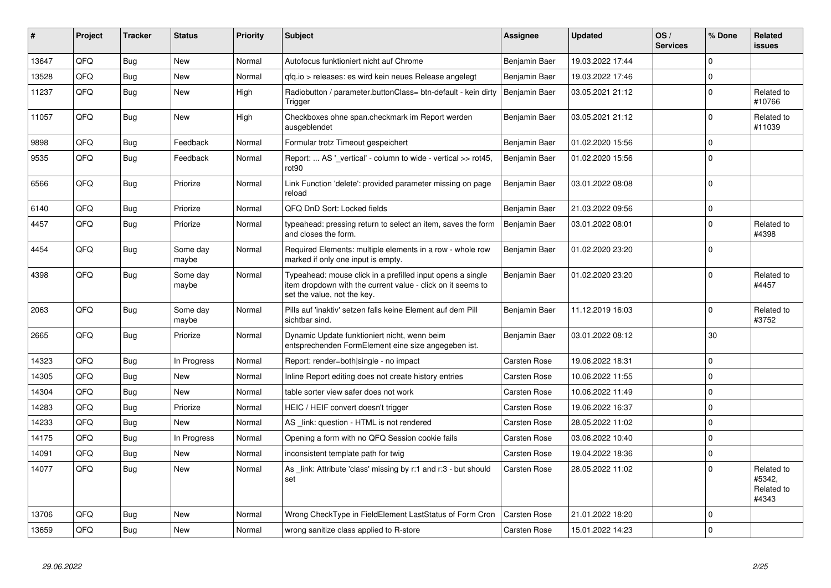| #     | <b>Project</b> | <b>Tracker</b> | <b>Status</b>     | <b>Priority</b> | <b>Subject</b>                                                                                                                                           | Assignee            | <b>Updated</b>   | OS/<br><b>Services</b> | % Done       | Related<br>issues                           |
|-------|----------------|----------------|-------------------|-----------------|----------------------------------------------------------------------------------------------------------------------------------------------------------|---------------------|------------------|------------------------|--------------|---------------------------------------------|
| 13647 | QFQ            | Bug            | <b>New</b>        | Normal          | Autofocus funktioniert nicht auf Chrome                                                                                                                  | Benjamin Baer       | 19.03.2022 17:44 |                        | $\Omega$     |                                             |
| 13528 | QFQ            | <b>Bug</b>     | <b>New</b>        | Normal          | qfq.io > releases: es wird kein neues Release angelegt                                                                                                   | Benjamin Baer       | 19.03.2022 17:46 |                        | 0            |                                             |
| 11237 | QFQ            | Bug            | <b>New</b>        | High            | Radiobutton / parameter.buttonClass= btn-default - kein dirty<br>Trigger                                                                                 | Benjamin Baer       | 03.05.2021 21:12 |                        | $\Omega$     | Related to<br>#10766                        |
| 11057 | QFQ            | Bug            | <b>New</b>        | High            | Checkboxes ohne span.checkmark im Report werden<br>ausgeblendet                                                                                          | Benjamin Baer       | 03.05.2021 21:12 |                        | <sup>0</sup> | Related to<br>#11039                        |
| 9898  | QFQ            | Bug            | Feedback          | Normal          | Formular trotz Timeout gespeichert                                                                                                                       | Benjamin Baer       | 01.02.2020 15:56 |                        | $\Omega$     |                                             |
| 9535  | QFQ            | <b>Bug</b>     | Feedback          | Normal          | Report:  AS '_vertical' - column to wide - vertical >> rot45,<br>rot <sub>90</sub>                                                                       | Benjamin Baer       | 01.02.2020 15:56 |                        | <sup>0</sup> |                                             |
| 6566  | QFQ            | <b>Bug</b>     | Priorize          | Normal          | Link Function 'delete': provided parameter missing on page<br>reload                                                                                     | Benjamin Baer       | 03.01.2022 08:08 |                        | $\Omega$     |                                             |
| 6140  | QFQ            | <b>Bug</b>     | Priorize          | Normal          | QFQ DnD Sort: Locked fields                                                                                                                              | Benjamin Baer       | 21.03.2022 09:56 |                        | $\mathbf 0$  |                                             |
| 4457  | QFQ            | <b>Bug</b>     | Priorize          | Normal          | typeahead: pressing return to select an item, saves the form<br>and closes the form.                                                                     | Benjamin Baer       | 03.01.2022 08:01 |                        | $\Omega$     | Related to<br>#4398                         |
| 4454  | QFQ            | <b>Bug</b>     | Some day<br>maybe | Normal          | Required Elements: multiple elements in a row - whole row<br>marked if only one input is empty.                                                          | Benjamin Baer       | 01.02.2020 23:20 |                        | $\Omega$     |                                             |
| 4398  | QFQ            | Bug            | Some day<br>maybe | Normal          | Typeahead: mouse click in a prefilled input opens a single<br>item dropdown with the current value - click on it seems to<br>set the value, not the key. | Benjamin Baer       | 01.02.2020 23:20 |                        | $\Omega$     | Related to<br>#4457                         |
| 2063  | QFQ            | Bug            | Some day<br>maybe | Normal          | Pills auf 'inaktiv' setzen falls keine Element auf dem Pill<br>sichtbar sind.                                                                            | Benjamin Baer       | 11.12.2019 16:03 |                        | $\Omega$     | Related to<br>#3752                         |
| 2665  | QFQ            | Bug            | Priorize          | Normal          | Dynamic Update funktioniert nicht, wenn beim<br>entsprechenden FormElement eine size angegeben ist.                                                      | Benjamin Baer       | 03.01.2022 08:12 |                        | 30           |                                             |
| 14323 | QFQ            | Bug            | In Progress       | Normal          | Report: render=both single - no impact                                                                                                                   | <b>Carsten Rose</b> | 19.06.2022 18:31 |                        | $\Omega$     |                                             |
| 14305 | QFQ            | <b>Bug</b>     | New               | Normal          | Inline Report editing does not create history entries                                                                                                    | <b>Carsten Rose</b> | 10.06.2022 11:55 |                        | $\Omega$     |                                             |
| 14304 | QFQ            | Bug            | <b>New</b>        | Normal          | table sorter view safer does not work                                                                                                                    | Carsten Rose        | 10.06.2022 11:49 |                        | $\Omega$     |                                             |
| 14283 | QFQ            | <b>Bug</b>     | Priorize          | Normal          | HEIC / HEIF convert doesn't trigger                                                                                                                      | <b>Carsten Rose</b> | 19.06.2022 16:37 |                        | $\Omega$     |                                             |
| 14233 | QFQ            | <b>Bug</b>     | <b>New</b>        | Normal          | AS _link: question - HTML is not rendered                                                                                                                | <b>Carsten Rose</b> | 28.05.2022 11:02 |                        | $\Omega$     |                                             |
| 14175 | QFQ            | <b>Bug</b>     | In Progress       | Normal          | Opening a form with no QFQ Session cookie fails                                                                                                          | Carsten Rose        | 03.06.2022 10:40 |                        | 0            |                                             |
| 14091 | QFQ            | <b>Bug</b>     | <b>New</b>        | Normal          | inconsistent template path for twig                                                                                                                      | Carsten Rose        | 19.04.2022 18:36 |                        | $\Omega$     |                                             |
| 14077 | QFQ            | Bug            | New               | Normal          | As link: Attribute 'class' missing by r:1 and r:3 - but should<br>set                                                                                    | Carsten Rose        | 28.05.2022 11:02 |                        | $\Omega$     | Related to<br>#5342,<br>Related to<br>#4343 |
| 13706 | QFQ            | Bug            | <b>New</b>        | Normal          | Wrong CheckType in FieldElement LastStatus of Form Cron                                                                                                  | <b>Carsten Rose</b> | 21.01.2022 18:20 |                        | $\Omega$     |                                             |
| 13659 | QFQ            | Bug            | <b>New</b>        | Normal          | wrong sanitize class applied to R-store                                                                                                                  | <b>Carsten Rose</b> | 15.01.2022 14:23 |                        | $\Omega$     |                                             |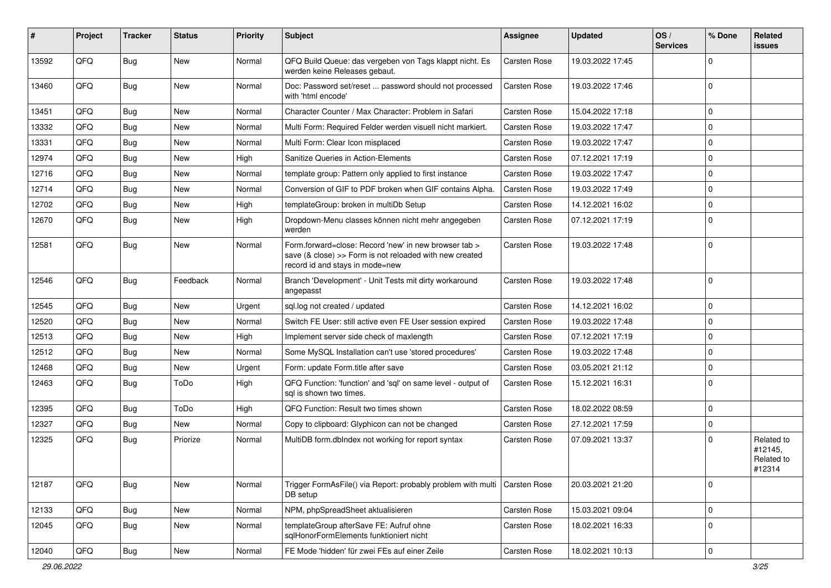| #     | Project | <b>Tracker</b> | <b>Status</b> | <b>Priority</b> | <b>Subject</b>                                                                                                                                      | <b>Assignee</b>     | <b>Updated</b>   | OS/<br><b>Services</b> | % Done      | Related<br>issues                             |
|-------|---------|----------------|---------------|-----------------|-----------------------------------------------------------------------------------------------------------------------------------------------------|---------------------|------------------|------------------------|-------------|-----------------------------------------------|
| 13592 | QFQ     | Bug            | New           | Normal          | QFQ Build Queue: das vergeben von Tags klappt nicht. Es<br>werden keine Releases gebaut.                                                            | <b>Carsten Rose</b> | 19.03.2022 17:45 |                        | 0           |                                               |
| 13460 | QFQ     | Bug            | New           | Normal          | Doc: Password set/reset  password should not processed<br>with 'html encode'                                                                        | <b>Carsten Rose</b> | 19.03.2022 17:46 |                        | 0           |                                               |
| 13451 | QFQ     | Bug            | New           | Normal          | Character Counter / Max Character: Problem in Safari                                                                                                | <b>Carsten Rose</b> | 15.04.2022 17:18 |                        | $\mathbf 0$ |                                               |
| 13332 | QFQ     | Bug            | New           | Normal          | Multi Form: Required Felder werden visuell nicht markiert.                                                                                          | <b>Carsten Rose</b> | 19.03.2022 17:47 |                        | 0           |                                               |
| 13331 | QFQ     | Bug            | New           | Normal          | Multi Form: Clear Icon misplaced                                                                                                                    | <b>Carsten Rose</b> | 19.03.2022 17:47 |                        | $\mathbf 0$ |                                               |
| 12974 | QFQ     | Bug            | New           | High            | Sanitize Queries in Action-Elements                                                                                                                 | <b>Carsten Rose</b> | 07.12.2021 17:19 |                        | 0           |                                               |
| 12716 | QFQ     | Bug            | New           | Normal          | template group: Pattern only applied to first instance                                                                                              | <b>Carsten Rose</b> | 19.03.2022 17:47 |                        | 0           |                                               |
| 12714 | QFQ     | Bug            | New           | Normal          | Conversion of GIF to PDF broken when GIF contains Alpha.                                                                                            | <b>Carsten Rose</b> | 19.03.2022 17:49 |                        | $\mathbf 0$ |                                               |
| 12702 | QFQ     | Bug            | New           | High            | templateGroup: broken in multiDb Setup                                                                                                              | <b>Carsten Rose</b> | 14.12.2021 16:02 |                        | 0           |                                               |
| 12670 | QFQ     | Bug            | New           | High            | Dropdown-Menu classes können nicht mehr angegeben<br>werden                                                                                         | Carsten Rose        | 07.12.2021 17:19 |                        | 0           |                                               |
| 12581 | QFQ     | Bug            | New           | Normal          | Form.forward=close: Record 'new' in new browser tab ><br>save (& close) >> Form is not reloaded with new created<br>record id and stays in mode=new | <b>Carsten Rose</b> | 19.03.2022 17:48 |                        | $\mathbf 0$ |                                               |
| 12546 | QFQ     | Bug            | Feedback      | Normal          | Branch 'Development' - Unit Tests mit dirty workaround<br>angepasst                                                                                 | <b>Carsten Rose</b> | 19.03.2022 17:48 |                        | $\mathbf 0$ |                                               |
| 12545 | QFQ     | Bug            | New           | Urgent          | sql.log not created / updated                                                                                                                       | <b>Carsten Rose</b> | 14.12.2021 16:02 |                        | 0           |                                               |
| 12520 | QFQ     | Bug            | New           | Normal          | Switch FE User: still active even FE User session expired                                                                                           | <b>Carsten Rose</b> | 19.03.2022 17:48 |                        | $\mathbf 0$ |                                               |
| 12513 | QFQ     | Bug            | New           | High            | Implement server side check of maxlength                                                                                                            | <b>Carsten Rose</b> | 07.12.2021 17:19 |                        | $\mathbf 0$ |                                               |
| 12512 | QFQ     | <b>Bug</b>     | New           | Normal          | Some MySQL Installation can't use 'stored procedures'                                                                                               | <b>Carsten Rose</b> | 19.03.2022 17:48 |                        | 0           |                                               |
| 12468 | QFQ     | Bug            | New           | Urgent          | Form: update Form.title after save                                                                                                                  | <b>Carsten Rose</b> | 03.05.2021 21:12 |                        | $\mathbf 0$ |                                               |
| 12463 | QFQ     | Bug            | ToDo          | High            | QFQ Function: 'function' and 'sql' on same level - output of<br>sql is shown two times.                                                             | <b>Carsten Rose</b> | 15.12.2021 16:31 |                        | 0           |                                               |
| 12395 | QFQ     | <b>Bug</b>     | ToDo          | High            | QFQ Function: Result two times shown                                                                                                                | <b>Carsten Rose</b> | 18.02.2022 08:59 |                        | 0           |                                               |
| 12327 | QFQ     | Bug            | New           | Normal          | Copy to clipboard: Glyphicon can not be changed                                                                                                     | <b>Carsten Rose</b> | 27.12.2021 17:59 |                        | $\mathbf 0$ |                                               |
| 12325 | QFQ     | Bug            | Priorize      | Normal          | MultiDB form.dblndex not working for report syntax                                                                                                  | Carsten Rose        | 07.09.2021 13:37 |                        | 0           | Related to<br>#12145,<br>Related to<br>#12314 |
| 12187 | QFQ     | Bug            | New           | Normal          | Trigger FormAsFile() via Report: probably problem with multi<br>DB setup                                                                            | Carsten Rose        | 20.03.2021 21:20 |                        | $\mathbf 0$ |                                               |
| 12133 | QFQ     | Bug            | New           | Normal          | NPM, phpSpreadSheet aktualisieren                                                                                                                   | Carsten Rose        | 15.03.2021 09:04 |                        | 0           |                                               |
| 12045 | QFQ     | Bug            | New           | Normal          | templateGroup afterSave FE: Aufruf ohne<br>sqlHonorFormElements funktioniert nicht                                                                  | Carsten Rose        | 18.02.2021 16:33 |                        | 0           |                                               |
| 12040 | QFQ     | Bug            | New           | Normal          | FE Mode 'hidden' für zwei FEs auf einer Zeile                                                                                                       | Carsten Rose        | 18.02.2021 10:13 |                        | $\mathbf 0$ |                                               |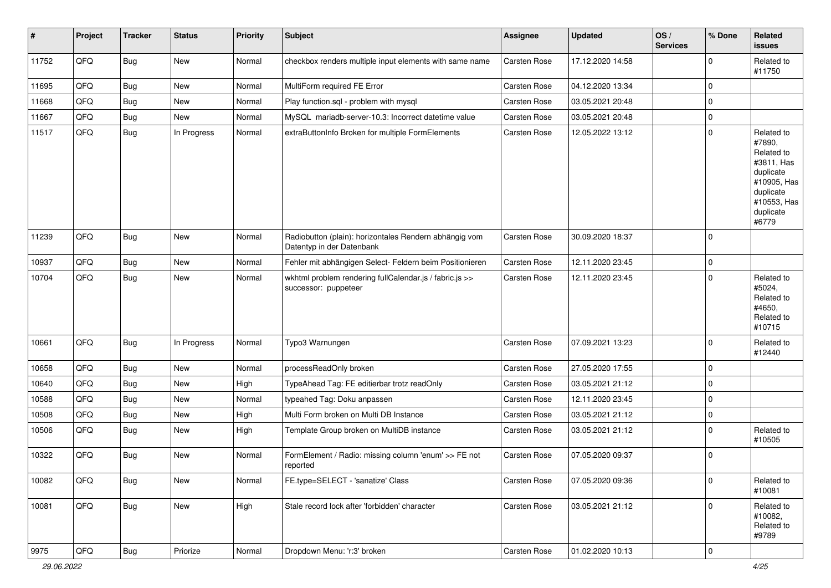| #     | Project | <b>Tracker</b> | <b>Status</b> | <b>Priority</b> | <b>Subject</b>                                                                      | <b>Assignee</b> | <b>Updated</b>   | OS/<br><b>Services</b> | % Done      | Related<br><b>issues</b>                                                                                                       |
|-------|---------|----------------|---------------|-----------------|-------------------------------------------------------------------------------------|-----------------|------------------|------------------------|-------------|--------------------------------------------------------------------------------------------------------------------------------|
| 11752 | QFQ     | Bug            | New           | Normal          | checkbox renders multiple input elements with same name                             | Carsten Rose    | 17.12.2020 14:58 |                        | $\mathbf 0$ | Related to<br>#11750                                                                                                           |
| 11695 | QFQ     | <b>Bug</b>     | <b>New</b>    | Normal          | MultiForm required FE Error                                                         | Carsten Rose    | 04.12.2020 13:34 |                        | 0           |                                                                                                                                |
| 11668 | QFQ     | Bug            | New           | Normal          | Play function.sql - problem with mysql                                              | Carsten Rose    | 03.05.2021 20:48 |                        | $\mathbf 0$ |                                                                                                                                |
| 11667 | QFQ     | Bug            | New           | Normal          | MySQL mariadb-server-10.3: Incorrect datetime value                                 | Carsten Rose    | 03.05.2021 20:48 |                        | 0           |                                                                                                                                |
| 11517 | QFQ     | Bug            | In Progress   | Normal          | extraButtonInfo Broken for multiple FormElements                                    | Carsten Rose    | 12.05.2022 13:12 |                        | $\mathbf 0$ | Related to<br>#7890,<br>Related to<br>#3811, Has<br>duplicate<br>#10905, Has<br>duplicate<br>#10553, Has<br>duplicate<br>#6779 |
| 11239 | QFQ     | Bug            | New           | Normal          | Radiobutton (plain): horizontales Rendern abhängig vom<br>Datentyp in der Datenbank | Carsten Rose    | 30.09.2020 18:37 |                        | $\mathbf 0$ |                                                                                                                                |
| 10937 | QFQ     | Bug            | New           | Normal          | Fehler mit abhängigen Select- Feldern beim Positionieren                            | Carsten Rose    | 12.11.2020 23:45 |                        | $\mathbf 0$ |                                                                                                                                |
| 10704 | QFQ     | Bug            | New           | Normal          | wkhtml problem rendering fullCalendar.js / fabric.js >><br>successor: puppeteer     | Carsten Rose    | 12.11.2020 23:45 |                        | $\mathbf 0$ | Related to<br>#5024,<br>Related to<br>#4650,<br>Related to<br>#10715                                                           |
| 10661 | QFQ     | Bug            | In Progress   | Normal          | Typo3 Warnungen                                                                     | Carsten Rose    | 07.09.2021 13:23 |                        | $\mathbf 0$ | Related to<br>#12440                                                                                                           |
| 10658 | QFQ     | Bug            | New           | Normal          | processReadOnly broken                                                              | Carsten Rose    | 27.05.2020 17:55 |                        | $\mathbf 0$ |                                                                                                                                |
| 10640 | QFQ     | Bug            | New           | High            | TypeAhead Tag: FE editierbar trotz readOnly                                         | Carsten Rose    | 03.05.2021 21:12 |                        | $\pmb{0}$   |                                                                                                                                |
| 10588 | QFQ     | Bug            | New           | Normal          | typeahed Tag: Doku anpassen                                                         | Carsten Rose    | 12.11.2020 23:45 |                        | $\mathbf 0$ |                                                                                                                                |
| 10508 | QFQ     | Bug            | New           | High            | Multi Form broken on Multi DB Instance                                              | Carsten Rose    | 03.05.2021 21:12 |                        | $\pmb{0}$   |                                                                                                                                |
| 10506 | QFQ     | Bug            | New           | High            | Template Group broken on MultiDB instance                                           | Carsten Rose    | 03.05.2021 21:12 |                        | $\mathbf 0$ | Related to<br>#10505                                                                                                           |
| 10322 | QFQ     | Bug            | New           | Normal          | FormElement / Radio: missing column 'enum' >> FE not<br>reported                    | Carsten Rose    | 07.05.2020 09:37 |                        | $\mathbf 0$ |                                                                                                                                |
| 10082 | QFQ     | Bug            | New           | Normal          | FE.type=SELECT - 'sanatize' Class                                                   | Carsten Rose    | 07.05.2020 09:36 |                        | $\mathbf 0$ | Related to<br>#10081                                                                                                           |
| 10081 | QFQ     | Bug            | New           | High            | Stale record lock after 'forbidden' character                                       | Carsten Rose    | 03.05.2021 21:12 |                        | $\mathbf 0$ | Related to<br>#10082,<br>Related to<br>#9789                                                                                   |
| 9975  | QFQ     | <b>Bug</b>     | Priorize      | Normal          | Dropdown Menu: 'r:3' broken                                                         | Carsten Rose    | 01.02.2020 10:13 |                        | 0           |                                                                                                                                |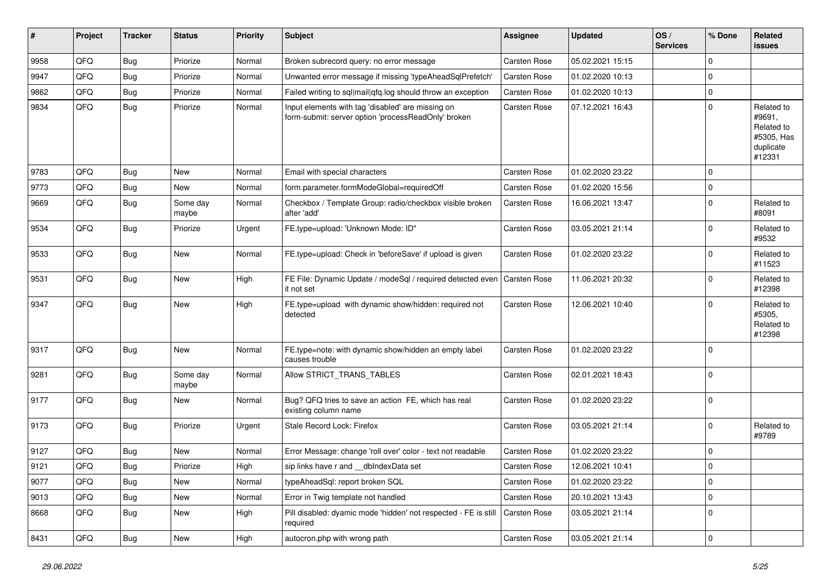| #    | Project | <b>Tracker</b> | <b>Status</b>     | <b>Priority</b> | Subject                                                                                                  | <b>Assignee</b>     | <b>Updated</b>   | OS/<br><b>Services</b> | % Done      | Related<br>issues                                                       |
|------|---------|----------------|-------------------|-----------------|----------------------------------------------------------------------------------------------------------|---------------------|------------------|------------------------|-------------|-------------------------------------------------------------------------|
| 9958 | QFQ     | Bug            | Priorize          | Normal          | Broken subrecord query: no error message                                                                 | Carsten Rose        | 05.02.2021 15:15 |                        | $\Omega$    |                                                                         |
| 9947 | QFQ     | Bug            | Priorize          | Normal          | Unwanted error message if missing 'typeAheadSqlPrefetch'                                                 | Carsten Rose        | 01.02.2020 10:13 |                        | $\mathbf 0$ |                                                                         |
| 9862 | QFQ     | Bug            | Priorize          | Normal          | Failed writing to sql mail qfq.log should throw an exception                                             | Carsten Rose        | 01.02.2020 10:13 |                        | $\mathbf 0$ |                                                                         |
| 9834 | QFQ     | <b>Bug</b>     | Priorize          | Normal          | Input elements with tag 'disabled' are missing on<br>form-submit: server option 'processReadOnly' broken | Carsten Rose        | 07.12.2021 16:43 |                        | $\mathbf 0$ | Related to<br>#9691,<br>Related to<br>#5305, Has<br>duplicate<br>#12331 |
| 9783 | QFQ     | <b>Bug</b>     | New               | Normal          | Email with special characters                                                                            | Carsten Rose        | 01.02.2020 23:22 |                        | $\mathbf 0$ |                                                                         |
| 9773 | QFQ     | <b>Bug</b>     | New               | Normal          | form.parameter.formModeGlobal=requiredOff                                                                | Carsten Rose        | 01.02.2020 15:56 |                        | $\mathbf 0$ |                                                                         |
| 9669 | QFQ     | <b>Bug</b>     | Some day<br>maybe | Normal          | Checkbox / Template Group: radio/checkbox visible broken<br>after 'add'                                  | Carsten Rose        | 16.06.2021 13:47 |                        | $\mathbf 0$ | Related to<br>#8091                                                     |
| 9534 | QFQ     | Bug            | Priorize          | Urgent          | FE.type=upload: 'Unknown Mode: ID"                                                                       | Carsten Rose        | 03.05.2021 21:14 |                        | $\mathbf 0$ | Related to<br>#9532                                                     |
| 9533 | QFQ     | <b>Bug</b>     | New               | Normal          | FE.type=upload: Check in 'beforeSave' if upload is given                                                 | Carsten Rose        | 01.02.2020 23:22 |                        | $\mathbf 0$ | Related to<br>#11523                                                    |
| 9531 | QFQ     | Bug            | New               | High            | FE File: Dynamic Update / modeSql / required detected even<br>it not set                                 | <b>Carsten Rose</b> | 11.06.2021 20:32 |                        | $\mathbf 0$ | Related to<br>#12398                                                    |
| 9347 | QFQ     | Bug            | New               | High            | FE.type=upload with dynamic show/hidden: required not<br>detected                                        | Carsten Rose        | 12.06.2021 10:40 |                        | $\mathbf 0$ | Related to<br>#5305,<br>Related to<br>#12398                            |
| 9317 | QFQ     | Bug            | New               | Normal          | FE.type=note: with dynamic show/hidden an empty label<br>causes trouble                                  | Carsten Rose        | 01.02.2020 23:22 |                        | $\mathbf 0$ |                                                                         |
| 9281 | QFQ     | <b>Bug</b>     | Some day<br>maybe | Normal          | Allow STRICT_TRANS_TABLES                                                                                | Carsten Rose        | 02.01.2021 18:43 |                        | $\mathbf 0$ |                                                                         |
| 9177 | QFQ     | Bug            | New               | Normal          | Bug? QFQ tries to save an action FE, which has real<br>existing column name                              | Carsten Rose        | 01.02.2020 23:22 |                        | $\mathbf 0$ |                                                                         |
| 9173 | QFQ     | Bug            | Priorize          | Urgent          | Stale Record Lock: Firefox                                                                               | Carsten Rose        | 03.05.2021 21:14 |                        | $\mathbf 0$ | Related to<br>#9789                                                     |
| 9127 | QFQ     | Bug            | <b>New</b>        | Normal          | Error Message: change 'roll over' color - text not readable                                              | Carsten Rose        | 01.02.2020 23:22 |                        | $\mathbf 0$ |                                                                         |
| 9121 | QFQ     | Bug            | Priorize          | High            | sip links have r and __dbIndexData set                                                                   | Carsten Rose        | 12.06.2021 10:41 |                        | $\Omega$    |                                                                         |
| 9077 | QFQ     | Bug            | New               | Normal          | typeAheadSql: report broken SQL                                                                          | Carsten Rose        | 01.02.2020 23:22 |                        | $\mathbf 0$ |                                                                         |
| 9013 | QFQ     | <b>Bug</b>     | New               | Normal          | Error in Twig template not handled                                                                       | Carsten Rose        | 20.10.2021 13:43 |                        | $\mathbf 0$ |                                                                         |
| 8668 | QFQ     | <b>Bug</b>     | New               | High            | Pill disabled: dyamic mode 'hidden' not respected - FE is still<br>required                              | Carsten Rose        | 03.05.2021 21:14 |                        | $\mathbf 0$ |                                                                         |
| 8431 | QFQ     | Bug            | New               | High            | autocron.php with wrong path                                                                             | Carsten Rose        | 03.05.2021 21:14 |                        | $\mathbf 0$ |                                                                         |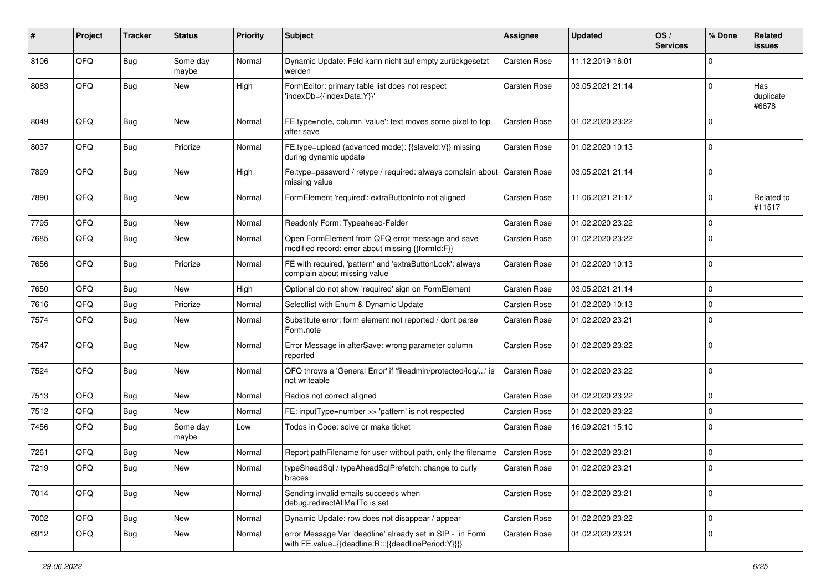| #    | Project | <b>Tracker</b> | <b>Status</b>     | <b>Priority</b> | <b>Subject</b>                                                                                                   | <b>Assignee</b>     | <b>Updated</b>   | OS/<br><b>Services</b> | % Done      | Related<br>issues         |
|------|---------|----------------|-------------------|-----------------|------------------------------------------------------------------------------------------------------------------|---------------------|------------------|------------------------|-------------|---------------------------|
| 8106 | QFQ     | Bug            | Some day<br>maybe | Normal          | Dynamic Update: Feld kann nicht auf empty zurückgesetzt<br>werden                                                | <b>Carsten Rose</b> | 11.12.2019 16:01 |                        | $\Omega$    |                           |
| 8083 | QFQ     | Bug            | New               | High            | FormEditor: primary table list does not respect<br>'indexDb={{indexData:Y}}'                                     | <b>Carsten Rose</b> | 03.05.2021 21:14 |                        | $\Omega$    | Has<br>duplicate<br>#6678 |
| 8049 | QFQ     | Bug            | New               | Normal          | FE.type=note, column 'value': text moves some pixel to top<br>after save                                         | <b>Carsten Rose</b> | 01.02.2020 23:22 |                        | $\Omega$    |                           |
| 8037 | QFQ     | Bug            | Priorize          | Normal          | FE.type=upload (advanced mode): {{slaveId:V}} missing<br>during dynamic update                                   | <b>Carsten Rose</b> | 01.02.2020 10:13 |                        | $\Omega$    |                           |
| 7899 | QFQ     | Bug            | New               | High            | Fe.type=password / retype / required: always complain about<br>missing value                                     | <b>Carsten Rose</b> | 03.05.2021 21:14 |                        | $\Omega$    |                           |
| 7890 | QFQ     | Bug            | New               | Normal          | FormElement 'required': extraButtonInfo not aligned                                                              | <b>Carsten Rose</b> | 11.06.2021 21:17 |                        | $\mathbf 0$ | Related to<br>#11517      |
| 7795 | QFQ     | Bug            | New               | Normal          | Readonly Form: Typeahead-Felder                                                                                  | <b>Carsten Rose</b> | 01.02.2020 23:22 |                        | $\mathbf 0$ |                           |
| 7685 | QFQ     | Bug            | New               | Normal          | Open FormElement from QFQ error message and save<br>modified record: error about missing {{formId:F}}            | <b>Carsten Rose</b> | 01.02.2020 23:22 |                        | $\Omega$    |                           |
| 7656 | QFQ     | Bug            | Priorize          | Normal          | FE with required, 'pattern' and 'extraButtonLock': always<br>complain about missing value                        | <b>Carsten Rose</b> | 01.02.2020 10:13 |                        | $\Omega$    |                           |
| 7650 | QFQ     | Bug            | New               | High            | Optional do not show 'required' sign on FormElement                                                              | <b>Carsten Rose</b> | 03.05.2021 21:14 |                        | $\Omega$    |                           |
| 7616 | QFQ     | Bug            | Priorize          | Normal          | Selectlist with Enum & Dynamic Update                                                                            | <b>Carsten Rose</b> | 01.02.2020 10:13 |                        | $\Omega$    |                           |
| 7574 | QFQ     | Bug            | New               | Normal          | Substitute error: form element not reported / dont parse<br>Form.note                                            | Carsten Rose        | 01.02.2020 23:21 |                        | $\Omega$    |                           |
| 7547 | QFQ     | <b>Bug</b>     | New               | Normal          | Error Message in afterSave: wrong parameter column<br>reported                                                   | <b>Carsten Rose</b> | 01.02.2020 23:22 |                        | $\Omega$    |                           |
| 7524 | QFQ     | <b>Bug</b>     | New               | Normal          | QFQ throws a 'General Error' if 'fileadmin/protected/log/' is<br>not writeable                                   | <b>Carsten Rose</b> | 01.02.2020 23:22 |                        | 0           |                           |
| 7513 | QFQ     | Bug            | New               | Normal          | Radios not correct aligned                                                                                       | <b>Carsten Rose</b> | 01.02.2020 23:22 |                        | $\Omega$    |                           |
| 7512 | QFQ     | Bug            | New               | Normal          | FE: inputType=number >> 'pattern' is not respected                                                               | <b>Carsten Rose</b> | 01.02.2020 23:22 |                        | $\Omega$    |                           |
| 7456 | QFQ     | Bug            | Some day<br>maybe | Low             | Todos in Code: solve or make ticket                                                                              | <b>Carsten Rose</b> | 16.09.2021 15:10 |                        | 0 I         |                           |
| 7261 | QFQ     | Bug            | New               | Normal          | Report pathFilename for user without path, only the filename                                                     | <b>Carsten Rose</b> | 01.02.2020 23:21 |                        | 0           |                           |
| 7219 | QFQ     | Bug            | New               | Normal          | typeSheadSql / typeAheadSqlPrefetch: change to curly<br>braces                                                   | <b>Carsten Rose</b> | 01.02.2020 23:21 |                        | l O         |                           |
| 7014 | QFQ     | Bug            | New               | Normal          | Sending invalid emails succeeds when<br>debug.redirectAllMailTo is set                                           | Carsten Rose        | 01.02.2020 23:21 |                        | $\mathbf 0$ |                           |
| 7002 | QFQ     | Bug            | New               | Normal          | Dynamic Update: row does not disappear / appear                                                                  | Carsten Rose        | 01.02.2020 23:22 |                        | 0           |                           |
| 6912 | QFQ     | Bug            | New               | Normal          | error Message Var 'deadline' already set in SIP - in Form<br>with FE.value={{deadline:R:::{{deadlinePeriod:Y}}}} | Carsten Rose        | 01.02.2020 23:21 |                        | 0           |                           |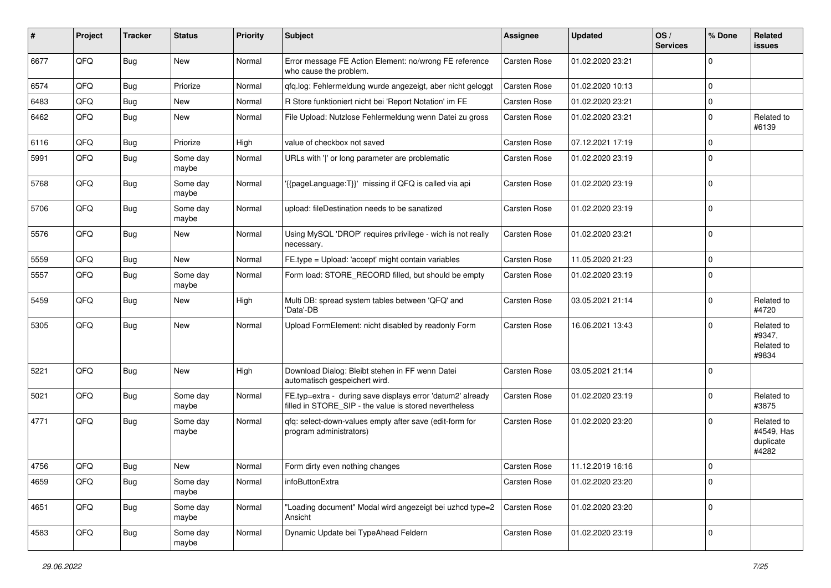| ∦    | Project | <b>Tracker</b> | <b>Status</b>     | <b>Priority</b> | Subject                                                                                                              | <b>Assignee</b> | <b>Updated</b>   | OS/<br><b>Services</b> | % Done      | Related<br><b>issues</b>                       |
|------|---------|----------------|-------------------|-----------------|----------------------------------------------------------------------------------------------------------------------|-----------------|------------------|------------------------|-------------|------------------------------------------------|
| 6677 | QFQ     | Bug            | New               | Normal          | Error message FE Action Element: no/wrong FE reference<br>who cause the problem.                                     | Carsten Rose    | 01.02.2020 23:21 |                        | $\Omega$    |                                                |
| 6574 | QFQ     | Bug            | Priorize          | Normal          | qfq.log: Fehlermeldung wurde angezeigt, aber nicht geloggt                                                           | Carsten Rose    | 01.02.2020 10:13 |                        | $\Omega$    |                                                |
| 6483 | QFQ     | Bug            | <b>New</b>        | Normal          | R Store funktioniert nicht bei 'Report Notation' im FE                                                               | Carsten Rose    | 01.02.2020 23:21 |                        | 0           |                                                |
| 6462 | QFQ     | Bug            | New               | Normal          | File Upload: Nutzlose Fehlermeldung wenn Datei zu gross                                                              | Carsten Rose    | 01.02.2020 23:21 |                        | $\Omega$    | Related to<br>#6139                            |
| 6116 | QFQ     | Bug            | Priorize          | High            | value of checkbox not saved                                                                                          | Carsten Rose    | 07.12.2021 17:19 |                        | $\mathbf 0$ |                                                |
| 5991 | QFQ     | Bug            | Some day<br>maybe | Normal          | URLs with ' ' or long parameter are problematic                                                                      | Carsten Rose    | 01.02.2020 23:19 |                        | $\Omega$    |                                                |
| 5768 | QFQ     | Bug            | Some day<br>maybe | Normal          | '{{pageLanguage:T}}' missing if QFQ is called via api                                                                | Carsten Rose    | 01.02.2020 23:19 |                        | $\mathbf 0$ |                                                |
| 5706 | QFQ     | <b>Bug</b>     | Some day<br>maybe | Normal          | upload: fileDestination needs to be sanatized                                                                        | Carsten Rose    | 01.02.2020 23:19 |                        | $\mathbf 0$ |                                                |
| 5576 | QFQ     | Bug            | New               | Normal          | Using MySQL 'DROP' requires privilege - wich is not really<br>necessary.                                             | Carsten Rose    | 01.02.2020 23:21 |                        | $\Omega$    |                                                |
| 5559 | QFQ     | Bug            | <b>New</b>        | Normal          | FE.type = Upload: 'accept' might contain variables                                                                   | Carsten Rose    | 11.05.2020 21:23 |                        | $\Omega$    |                                                |
| 5557 | QFQ     | <b>Bug</b>     | Some day<br>maybe | Normal          | Form load: STORE_RECORD filled, but should be empty                                                                  | Carsten Rose    | 01.02.2020 23:19 |                        | $\mathbf 0$ |                                                |
| 5459 | QFQ     | Bug            | New               | High            | Multi DB: spread system tables between 'QFQ' and<br>'Data'-DB                                                        | Carsten Rose    | 03.05.2021 21:14 |                        | $\Omega$    | Related to<br>#4720                            |
| 5305 | QFQ     | Bug            | New               | Normal          | Upload FormElement: nicht disabled by readonly Form                                                                  | Carsten Rose    | 16.06.2021 13:43 |                        | $\Omega$    | Related to<br>#9347,<br>Related to<br>#9834    |
| 5221 | QFQ     | Bug            | <b>New</b>        | High            | Download Dialog: Bleibt stehen in FF wenn Datei<br>automatisch gespeichert wird.                                     | Carsten Rose    | 03.05.2021 21:14 |                        | $\Omega$    |                                                |
| 5021 | QFQ     | Bug            | Some day<br>maybe | Normal          | FE.typ=extra - during save displays error 'datum2' already<br>filled in STORE_SIP - the value is stored nevertheless | Carsten Rose    | 01.02.2020 23:19 |                        | $\Omega$    | Related to<br>#3875                            |
| 4771 | QFQ     | Bug            | Some day<br>maybe | Normal          | qfq: select-down-values empty after save (edit-form for<br>program administrators)                                   | Carsten Rose    | 01.02.2020 23:20 |                        | $\Omega$    | Related to<br>#4549, Has<br>duplicate<br>#4282 |
| 4756 | QFQ     | <b>Bug</b>     | <b>New</b>        | Normal          | Form dirty even nothing changes                                                                                      | Carsten Rose    | 11.12.2019 16:16 |                        | $\Omega$    |                                                |
| 4659 | QFG     | <b>Bug</b>     | Some day<br>maybe | Normal          | infoButtonExtra                                                                                                      | Carsten Rose    | 01.02.2020 23:20 |                        | $\mathbf 0$ |                                                |
| 4651 | QFQ     | Bug            | Some day<br>maybe | Normal          | "Loading document" Modal wird angezeigt bei uzhcd type=2<br>Ansicht                                                  | Carsten Rose    | 01.02.2020 23:20 |                        | $\Omega$    |                                                |
| 4583 | QFQ     | Bug            | Some day<br>maybe | Normal          | Dynamic Update bei TypeAhead Feldern                                                                                 | Carsten Rose    | 01.02.2020 23:19 |                        | 0           |                                                |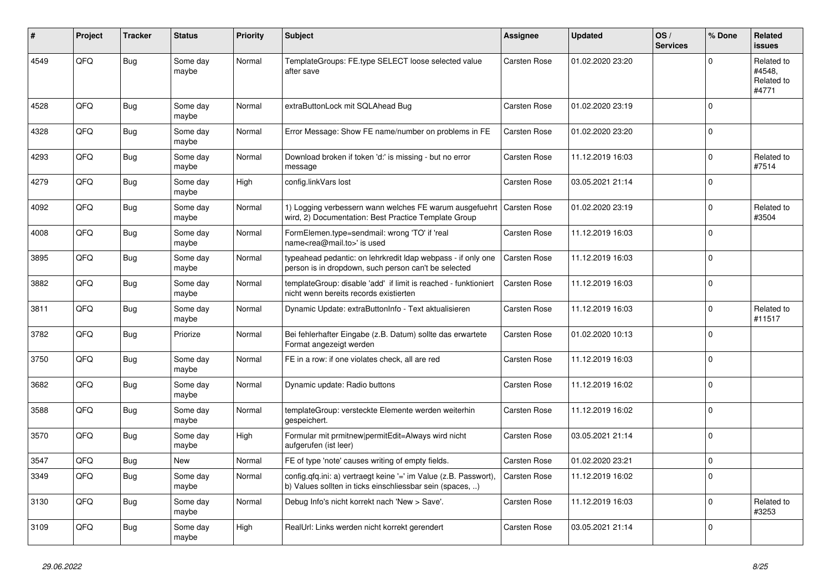| ∦    | Project    | <b>Tracker</b> | <b>Status</b>     | <b>Priority</b> | <b>Subject</b>                                                                                                                | Assignee            | <b>Updated</b>   | OS/<br><b>Services</b> | % Done   | Related<br><b>issues</b>                    |
|------|------------|----------------|-------------------|-----------------|-------------------------------------------------------------------------------------------------------------------------------|---------------------|------------------|------------------------|----------|---------------------------------------------|
| 4549 | QFQ        | <b>Bug</b>     | Some day<br>maybe | Normal          | TemplateGroups: FE.type SELECT loose selected value<br>after save                                                             | Carsten Rose        | 01.02.2020 23:20 |                        | $\Omega$ | Related to<br>#4548.<br>Related to<br>#4771 |
| 4528 | QFQ        | Bug            | Some day<br>maybe | Normal          | extraButtonLock mit SQLAhead Bug                                                                                              | <b>Carsten Rose</b> | 01.02.2020 23:19 |                        | $\Omega$ |                                             |
| 4328 | QFQ        | Bug            | Some day<br>maybe | Normal          | Error Message: Show FE name/number on problems in FE                                                                          | <b>Carsten Rose</b> | 01.02.2020 23:20 |                        | $\Omega$ |                                             |
| 4293 | QFQ        | Bug            | Some day<br>maybe | Normal          | Download broken if token 'd:' is missing - but no error<br>message                                                            | <b>Carsten Rose</b> | 11.12.2019 16:03 |                        | $\Omega$ | Related to<br>#7514                         |
| 4279 | QFQ        | Bug            | Some day<br>maybe | High            | config.linkVars lost                                                                                                          | Carsten Rose        | 03.05.2021 21:14 |                        | $\Omega$ |                                             |
| 4092 | QFQ        | Bug            | Some day<br>maybe | Normal          | 1) Logging verbessern wann welches FE warum ausgefuehrt<br>wird, 2) Documentation: Best Practice Template Group               | <b>Carsten Rose</b> | 01.02.2020 23:19 |                        | $\Omega$ | Related to<br>#3504                         |
| 4008 | OFO        | Bug            | Some day<br>maybe | Normal          | FormElemen.type=sendmail: wrong 'TO' if 'real<br>name <rea@mail.to>' is used</rea@mail.to>                                    | Carsten Rose        | 11.12.2019 16:03 |                        | $\Omega$ |                                             |
| 3895 | QFQ        | Bug            | Some day<br>maybe | Normal          | typeahead pedantic: on lehrkredit Idap webpass - if only one<br>person is in dropdown, such person can't be selected          | <b>Carsten Rose</b> | 11.12.2019 16:03 |                        | $\Omega$ |                                             |
| 3882 | QFQ        | Bug            | Some day<br>maybe | Normal          | templateGroup: disable 'add' if limit is reached - funktioniert<br>nicht wenn bereits records existierten                     | <b>Carsten Rose</b> | 11.12.2019 16:03 |                        | $\Omega$ |                                             |
| 3811 | QFQ        | <b>Bug</b>     | Some day<br>maybe | Normal          | Dynamic Update: extraButtonInfo - Text aktualisieren                                                                          | Carsten Rose        | 11.12.2019 16:03 |                        | $\Omega$ | Related to<br>#11517                        |
| 3782 | QFQ        | Bug            | Priorize          | Normal          | Bei fehlerhafter Eingabe (z.B. Datum) sollte das erwartete<br>Format angezeigt werden                                         | Carsten Rose        | 01.02.2020 10:13 |                        | $\Omega$ |                                             |
| 3750 | QFQ        | <b>Bug</b>     | Some day<br>maybe | Normal          | FE in a row: if one violates check, all are red                                                                               | Carsten Rose        | 11.12.2019 16:03 |                        | $\Omega$ |                                             |
| 3682 | QFQ        | Bug            | Some day<br>maybe | Normal          | Dynamic update: Radio buttons                                                                                                 | <b>Carsten Rose</b> | 11.12.2019 16:02 |                        | $\Omega$ |                                             |
| 3588 | <b>OFO</b> | Bug            | Some day<br>maybe | Normal          | templateGroup: versteckte Elemente werden weiterhin<br>gespeichert.                                                           | Carsten Rose        | 11.12.2019 16:02 |                        | $\Omega$ |                                             |
| 3570 | QFQ        | Bug            | Some day<br>maybe | High            | Formular mit prmitnew permitEdit=Always wird nicht<br>aufgerufen (ist leer)                                                   | <b>Carsten Rose</b> | 03.05.2021 21:14 |                        | $\Omega$ |                                             |
| 3547 | QFQ        | Bug            | New               | Normal          | FE of type 'note' causes writing of empty fields.                                                                             | <b>Carsten Rose</b> | 01.02.2020 23:21 |                        | $\Omega$ |                                             |
| 3349 | QFQ        | <b>Bug</b>     | Some day<br>maybe | Normal          | config.qfq.ini: a) vertraegt keine '=' im Value (z.B. Passwort),<br>b) Values sollten in ticks einschliessbar sein (spaces, ) | Carsten Rose        | 11.12.2019 16:02 |                        | $\Omega$ |                                             |
| 3130 | QFQ        | Bug            | Some day<br>maybe | Normal          | Debug Info's nicht korrekt nach 'New > Save'.                                                                                 | Carsten Rose        | 11.12.2019 16:03 |                        | $\Omega$ | Related to<br>#3253                         |
| 3109 | QFQ        | Bug            | Some day<br>maybe | High            | RealUrl: Links werden nicht korrekt gerendert                                                                                 | Carsten Rose        | 03.05.2021 21:14 |                        | $\Omega$ |                                             |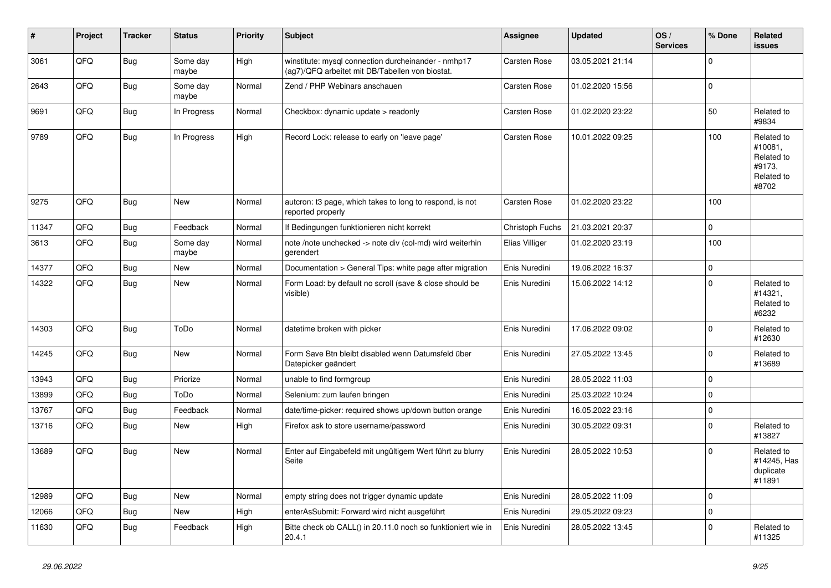| #     | Project | <b>Tracker</b> | <b>Status</b>     | <b>Priority</b> | <b>Subject</b>                                                                                         | Assignee            | <b>Updated</b>   | OS/<br><b>Services</b> | % Done      | Related<br><b>issues</b>                                             |
|-------|---------|----------------|-------------------|-----------------|--------------------------------------------------------------------------------------------------------|---------------------|------------------|------------------------|-------------|----------------------------------------------------------------------|
| 3061  | QFQ     | <b>Bug</b>     | Some day<br>maybe | High            | winstitute: mysql connection durcheinander - nmhp17<br>(ag7)/QFQ arbeitet mit DB/Tabellen von biostat. | <b>Carsten Rose</b> | 03.05.2021 21:14 |                        | $\mathbf 0$ |                                                                      |
| 2643  | QFQ     | <b>Bug</b>     | Some day<br>maybe | Normal          | Zend / PHP Webinars anschauen                                                                          | <b>Carsten Rose</b> | 01.02.2020 15:56 |                        | $\pmb{0}$   |                                                                      |
| 9691  | QFQ     | <b>Bug</b>     | In Progress       | Normal          | Checkbox: dynamic update > readonly                                                                    | Carsten Rose        | 01.02.2020 23:22 |                        | 50          | Related to<br>#9834                                                  |
| 9789  | QFQ     | <b>Bug</b>     | In Progress       | High            | Record Lock: release to early on 'leave page'                                                          | Carsten Rose        | 10.01.2022 09:25 |                        | 100         | Related to<br>#10081.<br>Related to<br>#9173,<br>Related to<br>#8702 |
| 9275  | QFQ     | <b>Bug</b>     | New               | Normal          | autcron: t3 page, which takes to long to respond, is not<br>reported properly                          | <b>Carsten Rose</b> | 01.02.2020 23:22 |                        | 100         |                                                                      |
| 11347 | QFQ     | <b>Bug</b>     | Feedback          | Normal          | If Bedingungen funktionieren nicht korrekt                                                             | Christoph Fuchs     | 21.03.2021 20:37 |                        | $\pmb{0}$   |                                                                      |
| 3613  | QFQ     | Bug            | Some day<br>maybe | Normal          | note /note unchecked -> note div (col-md) wird weiterhin<br>gerendert                                  | Elias Villiger      | 01.02.2020 23:19 |                        | 100         |                                                                      |
| 14377 | QFQ     | <b>Bug</b>     | <b>New</b>        | Normal          | Documentation > General Tips: white page after migration                                               | Enis Nuredini       | 19.06.2022 16:37 |                        | $\mathbf 0$ |                                                                      |
| 14322 | QFQ     | <b>Bug</b>     | New               | Normal          | Form Load: by default no scroll (save & close should be<br>visible)                                    | Enis Nuredini       | 15.06.2022 14:12 |                        | $\mathbf 0$ | Related to<br>#14321,<br>Related to<br>#6232                         |
| 14303 | QFQ     | Bug            | ToDo              | Normal          | datetime broken with picker                                                                            | Enis Nuredini       | 17.06.2022 09:02 |                        | $\mathbf 0$ | Related to<br>#12630                                                 |
| 14245 | QFQ     | Bug            | New               | Normal          | Form Save Btn bleibt disabled wenn Datumsfeld über<br>Datepicker geändert                              | Enis Nuredini       | 27.05.2022 13:45 |                        | $\mathbf 0$ | Related to<br>#13689                                                 |
| 13943 | QFQ     | <b>Bug</b>     | Priorize          | Normal          | unable to find formgroup                                                                               | Enis Nuredini       | 28.05.2022 11:03 |                        | 0           |                                                                      |
| 13899 | QFQ     | <b>Bug</b>     | ToDo              | Normal          | Selenium: zum laufen bringen                                                                           | Enis Nuredini       | 25.03.2022 10:24 |                        | $\mathbf 0$ |                                                                      |
| 13767 | QFQ     | <b>Bug</b>     | Feedback          | Normal          | date/time-picker: required shows up/down button orange                                                 | Enis Nuredini       | 16.05.2022 23:16 |                        | $\mathbf 0$ |                                                                      |
| 13716 | QFQ     | <b>Bug</b>     | New               | High            | Firefox ask to store username/password                                                                 | Enis Nuredini       | 30.05.2022 09:31 |                        | $\mathbf 0$ | Related to<br>#13827                                                 |
| 13689 | QFQ     | <b>Bug</b>     | <b>New</b>        | Normal          | Enter auf Eingabefeld mit ungültigem Wert führt zu blurry<br>Seite                                     | Enis Nuredini       | 28.05.2022 10:53 |                        | $\mathbf 0$ | Related to<br>#14245, Has<br>duplicate<br>#11891                     |
| 12989 | QFQ     | <b>Bug</b>     | <b>New</b>        | Normal          | empty string does not trigger dynamic update                                                           | Enis Nuredini       | 28.05.2022 11:09 |                        | 0           |                                                                      |
| 12066 | QFQ     | <b>Bug</b>     | New               | High            | enterAsSubmit: Forward wird nicht ausgeführt                                                           | Enis Nuredini       | 29.05.2022 09:23 |                        | 0           |                                                                      |
| 11630 | QFQ     | <b>Bug</b>     | Feedback          | High            | Bitte check ob CALL() in 20.11.0 noch so funktioniert wie in<br>20.4.1                                 | Enis Nuredini       | 28.05.2022 13:45 |                        | $\mathbf 0$ | Related to<br>#11325                                                 |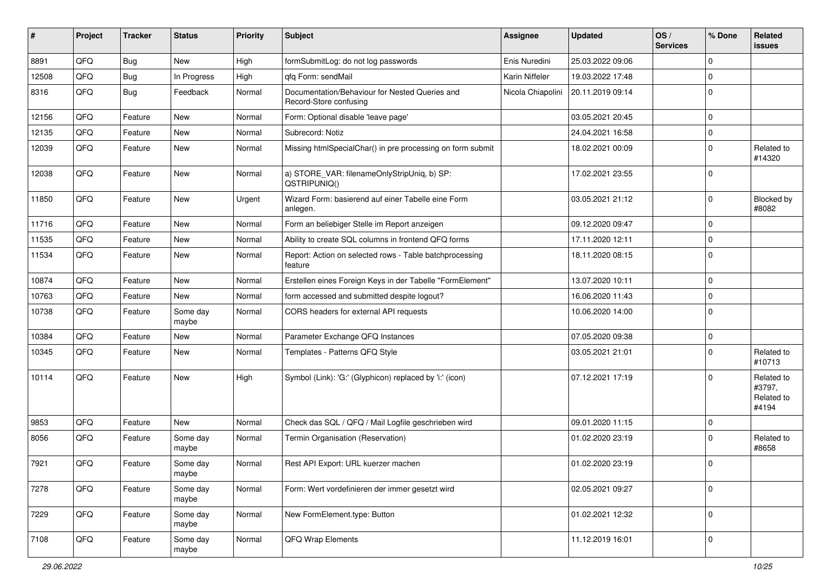| #     | Project | <b>Tracker</b> | <b>Status</b>     | <b>Priority</b> | <b>Subject</b>                                                           | Assignee          | <b>Updated</b>   | OS/<br><b>Services</b> | % Done      | Related<br>issues                           |
|-------|---------|----------------|-------------------|-----------------|--------------------------------------------------------------------------|-------------------|------------------|------------------------|-------------|---------------------------------------------|
| 8891  | QFQ     | Bug            | New               | High            | formSubmitLog: do not log passwords                                      | Enis Nuredini     | 25.03.2022 09:06 |                        | $\Omega$    |                                             |
| 12508 | QFQ     | Bug            | In Progress       | High            | qfq Form: sendMail                                                       | Karin Niffeler    | 19.03.2022 17:48 |                        | $\mathbf 0$ |                                             |
| 8316  | QFQ     | Bug            | Feedback          | Normal          | Documentation/Behaviour for Nested Queries and<br>Record-Store confusing | Nicola Chiapolini | 20.11.2019 09:14 |                        | $\Omega$    |                                             |
| 12156 | QFQ     | Feature        | <b>New</b>        | Normal          | Form: Optional disable 'leave page'                                      |                   | 03.05.2021 20:45 |                        | $\Omega$    |                                             |
| 12135 | QFQ     | Feature        | <b>New</b>        | Normal          | Subrecord: Notiz                                                         |                   | 24.04.2021 16:58 |                        | $\Omega$    |                                             |
| 12039 | QFQ     | Feature        | New               | Normal          | Missing htmlSpecialChar() in pre processing on form submit               |                   | 18.02.2021 00:09 |                        | $\Omega$    | Related to<br>#14320                        |
| 12038 | QFQ     | Feature        | New               | Normal          | a) STORE_VAR: filenameOnlyStripUniq, b) SP:<br>QSTRIPUNIQ()              |                   | 17.02.2021 23:55 |                        | $\Omega$    |                                             |
| 11850 | QFQ     | Feature        | New               | Urgent          | Wizard Form: basierend auf einer Tabelle eine Form<br>anlegen.           |                   | 03.05.2021 21:12 |                        | $\Omega$    | Blocked by<br>#8082                         |
| 11716 | QFQ     | Feature        | New               | Normal          | Form an beliebiger Stelle im Report anzeigen                             |                   | 09.12.2020 09:47 |                        | $\Omega$    |                                             |
| 11535 | QFQ     | Feature        | <b>New</b>        | Normal          | Ability to create SQL columns in frontend QFQ forms                      |                   | 17.11.2020 12:11 |                        | $\mathbf 0$ |                                             |
| 11534 | QFQ     | Feature        | <b>New</b>        | Normal          | Report: Action on selected rows - Table batchprocessing<br>feature       |                   | 18.11.2020 08:15 |                        | $\Omega$    |                                             |
| 10874 | QFQ     | Feature        | <b>New</b>        | Normal          | Erstellen eines Foreign Keys in der Tabelle "FormElement"                |                   | 13.07.2020 10:11 |                        | $\Omega$    |                                             |
| 10763 | QFQ     | Feature        | New               | Normal          | form accessed and submitted despite logout?                              |                   | 16.06.2020 11:43 |                        | $\mathbf 0$ |                                             |
| 10738 | QFQ     | Feature        | Some day<br>maybe | Normal          | CORS headers for external API requests                                   |                   | 10.06.2020 14:00 |                        | $\mathbf 0$ |                                             |
| 10384 | QFQ     | Feature        | New               | Normal          | Parameter Exchange QFQ Instances                                         |                   | 07.05.2020 09:38 |                        | $\mathbf 0$ |                                             |
| 10345 | QFQ     | Feature        | <b>New</b>        | Normal          | Templates - Patterns QFQ Style                                           |                   | 03.05.2021 21:01 |                        | $\mathbf 0$ | Related to<br>#10713                        |
| 10114 | QFQ     | Feature        | <b>New</b>        | High            | Symbol (Link): 'G:' (Glyphicon) replaced by 'i:' (icon)                  |                   | 07.12.2021 17:19 |                        | 0           | Related to<br>#3797,<br>Related to<br>#4194 |
| 9853  | QFQ     | Feature        | <b>New</b>        | Normal          | Check das SQL / QFQ / Mail Logfile geschrieben wird                      |                   | 09.01.2020 11:15 |                        | $\mathbf 0$ |                                             |
| 8056  | QFQ     | Feature        | Some day<br>maybe | Normal          | Termin Organisation (Reservation)                                        |                   | 01.02.2020 23:19 |                        | $\mathbf 0$ | Related to<br>#8658                         |
| 7921  | QFQ     | Feature        | Some day<br>maybe | Normal          | Rest API Export: URL kuerzer machen                                      |                   | 01.02.2020 23:19 |                        | $\mathbf 0$ |                                             |
| 7278  | QFQ     | Feature        | Some day<br>maybe | Normal          | Form: Wert vordefinieren der immer gesetzt wird                          |                   | 02.05.2021 09:27 |                        | $\mathbf 0$ |                                             |
| 7229  | QFQ     | Feature        | Some day<br>maybe | Normal          | New FormElement.type: Button                                             |                   | 01.02.2021 12:32 |                        | $\Omega$    |                                             |
| 7108  | QFG     | Feature        | Some day<br>maybe | Normal          | QFQ Wrap Elements                                                        |                   | 11.12.2019 16:01 |                        | 0           |                                             |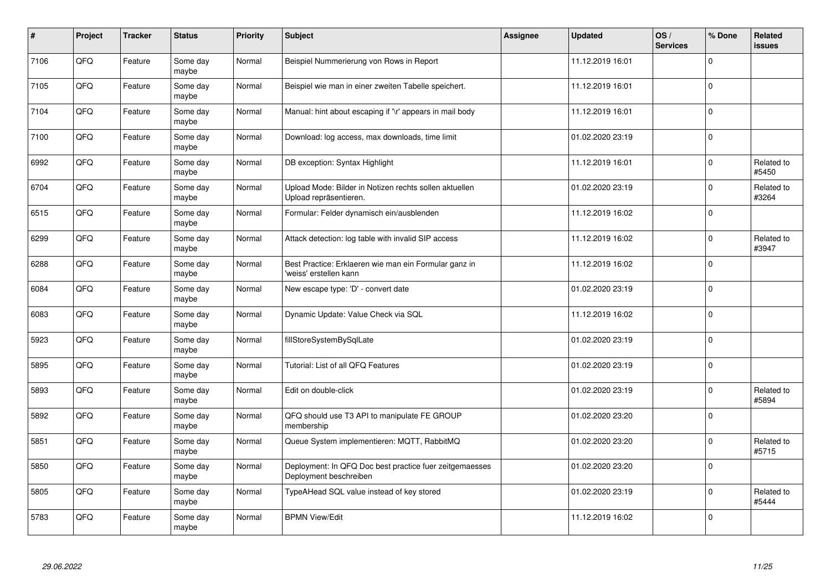| $\sharp$ | Project    | <b>Tracker</b> | <b>Status</b>     | <b>Priority</b> | <b>Subject</b>                                                                    | Assignee | <b>Updated</b>   | OS/<br><b>Services</b> | % Done       | Related<br>issues   |
|----------|------------|----------------|-------------------|-----------------|-----------------------------------------------------------------------------------|----------|------------------|------------------------|--------------|---------------------|
| 7106     | QFQ        | Feature        | Some day<br>maybe | Normal          | Beispiel Nummerierung von Rows in Report                                          |          | 11.12.2019 16:01 |                        | $\Omega$     |                     |
| 7105     | QFQ        | Feature        | Some day<br>maybe | Normal          | Beispiel wie man in einer zweiten Tabelle speichert.                              |          | 11.12.2019 16:01 |                        | $\Omega$     |                     |
| 7104     | QFQ        | Feature        | Some day<br>maybe | Normal          | Manual: hint about escaping if '\r' appears in mail body                          |          | 11.12.2019 16:01 |                        | $\Omega$     |                     |
| 7100     | QFQ        | Feature        | Some day<br>maybe | Normal          | Download: log access, max downloads, time limit                                   |          | 01.02.2020 23:19 |                        | $\Omega$     |                     |
| 6992     | QFQ        | Feature        | Some day<br>maybe | Normal          | DB exception: Syntax Highlight                                                    |          | 11.12.2019 16:01 |                        | $\Omega$     | Related to<br>#5450 |
| 6704     | <b>OFO</b> | Feature        | Some day<br>maybe | Normal          | Upload Mode: Bilder in Notizen rechts sollen aktuellen<br>Upload repräsentieren.  |          | 01.02.2020 23:19 |                        | $\Omega$     | Related to<br>#3264 |
| 6515     | QFQ        | Feature        | Some day<br>maybe | Normal          | Formular: Felder dynamisch ein/ausblenden                                         |          | 11.12.2019 16:02 |                        | $\Omega$     |                     |
| 6299     | QFQ        | Feature        | Some day<br>maybe | Normal          | Attack detection: log table with invalid SIP access                               |          | 11.12.2019 16:02 |                        | $\Omega$     | Related to<br>#3947 |
| 6288     | QFQ        | Feature        | Some day<br>maybe | Normal          | Best Practice: Erklaeren wie man ein Formular ganz in<br>'weiss' erstellen kann   |          | 11.12.2019 16:02 |                        | $\Omega$     |                     |
| 6084     | QFQ        | Feature        | Some day<br>maybe | Normal          | New escape type: 'D' - convert date                                               |          | 01.02.2020 23:19 |                        | $\Omega$     |                     |
| 6083     | QFQ        | Feature        | Some day<br>maybe | Normal          | Dynamic Update: Value Check via SQL                                               |          | 11.12.2019 16:02 |                        | $\mathbf 0$  |                     |
| 5923     | QFQ        | Feature        | Some day<br>maybe | Normal          | fillStoreSystemBySqlLate                                                          |          | 01.02.2020 23:19 |                        | $\mathbf 0$  |                     |
| 5895     | QFQ        | Feature        | Some day<br>maybe | Normal          | Tutorial: List of all QFQ Features                                                |          | 01.02.2020 23:19 |                        | $\mathbf 0$  |                     |
| 5893     | QFQ        | Feature        | Some day<br>maybe | Normal          | Edit on double-click                                                              |          | 01.02.2020 23:19 |                        | $\mathbf 0$  | Related to<br>#5894 |
| 5892     | QFQ        | Feature        | Some day<br>maybe | Normal          | QFQ should use T3 API to manipulate FE GROUP<br>membership                        |          | 01.02.2020 23:20 |                        | $\Omega$     |                     |
| 5851     | QFQ        | Feature        | Some day<br>maybe | Normal          | Queue System implementieren: MQTT, RabbitMQ                                       |          | 01.02.2020 23:20 |                        | $\Omega$     | Related to<br>#5715 |
| 5850     | QFQ        | Feature        | Some day<br>maybe | Normal          | Deployment: In QFQ Doc best practice fuer zeitgemaesses<br>Deployment beschreiben |          | 01.02.2020 23:20 |                        | $\mathbf{0}$ |                     |
| 5805     | QFQ        | Feature        | Some day<br>maybe | Normal          | TypeAHead SQL value instead of key stored                                         |          | 01.02.2020 23:19 |                        | $\Omega$     | Related to<br>#5444 |
| 5783     | QFQ        | Feature        | Some day<br>maybe | Normal          | <b>BPMN View/Edit</b>                                                             |          | 11.12.2019 16:02 |                        | $\Omega$     |                     |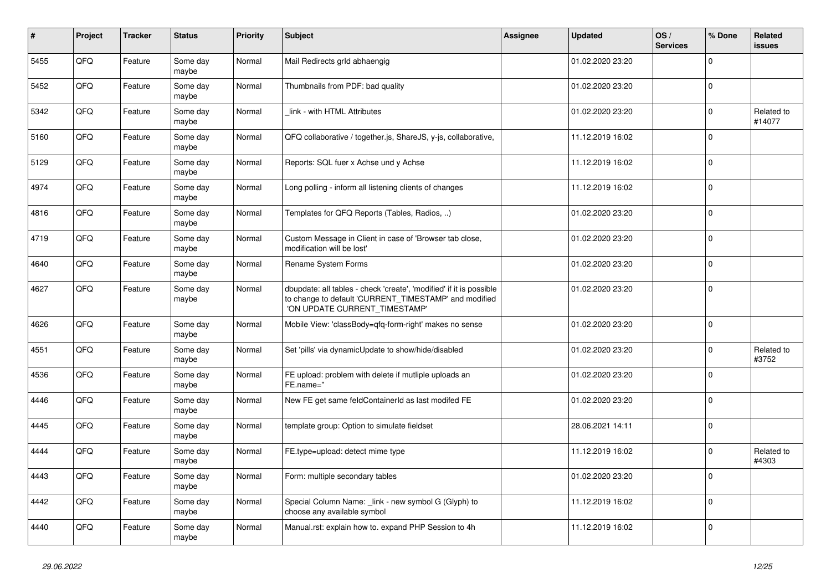| $\pmb{\sharp}$ | Project | <b>Tracker</b> | <b>Status</b>     | <b>Priority</b> | <b>Subject</b>                                                                                                                                                | Assignee | <b>Updated</b>   | OS/<br><b>Services</b> | % Done      | Related<br><b>issues</b> |
|----------------|---------|----------------|-------------------|-----------------|---------------------------------------------------------------------------------------------------------------------------------------------------------------|----------|------------------|------------------------|-------------|--------------------------|
| 5455           | QFQ     | Feature        | Some day<br>maybe | Normal          | Mail Redirects grld abhaengig                                                                                                                                 |          | 01.02.2020 23:20 |                        | $\Omega$    |                          |
| 5452           | QFQ     | Feature        | Some day<br>maybe | Normal          | Thumbnails from PDF: bad quality                                                                                                                              |          | 01.02.2020 23:20 |                        | $\mathbf 0$ |                          |
| 5342           | QFQ     | Feature        | Some day<br>maybe | Normal          | link - with HTML Attributes                                                                                                                                   |          | 01.02.2020 23:20 |                        | $\Omega$    | Related to<br>#14077     |
| 5160           | QFQ     | Feature        | Some day<br>maybe | Normal          | QFQ collaborative / together.js, ShareJS, y-js, collaborative,                                                                                                |          | 11.12.2019 16:02 |                        | $\Omega$    |                          |
| 5129           | QFQ     | Feature        | Some day<br>maybe | Normal          | Reports: SQL fuer x Achse und y Achse                                                                                                                         |          | 11.12.2019 16:02 |                        | 0           |                          |
| 4974           | QFQ     | Feature        | Some day<br>maybe | Normal          | Long polling - inform all listening clients of changes                                                                                                        |          | 11.12.2019 16:02 |                        | $\Omega$    |                          |
| 4816           | QFQ     | Feature        | Some day<br>maybe | Normal          | Templates for QFQ Reports (Tables, Radios, )                                                                                                                  |          | 01.02.2020 23:20 |                        | $\Omega$    |                          |
| 4719           | QFQ     | Feature        | Some day<br>maybe | Normal          | Custom Message in Client in case of 'Browser tab close,<br>modification will be lost'                                                                         |          | 01.02.2020 23:20 |                        | $\Omega$    |                          |
| 4640           | QFQ     | Feature        | Some day<br>maybe | Normal          | <b>Rename System Forms</b>                                                                                                                                    |          | 01.02.2020 23:20 |                        | $\Omega$    |                          |
| 4627           | QFQ     | Feature        | Some day<br>maybe | Normal          | dbupdate: all tables - check 'create', 'modified' if it is possible<br>to change to default 'CURRENT_TIMESTAMP' and modified<br>'ON UPDATE CURRENT_TIMESTAMP' |          | 01.02.2020 23:20 |                        | $\Omega$    |                          |
| 4626           | QFQ     | Feature        | Some day<br>maybe | Normal          | Mobile View: 'classBody=qfq-form-right' makes no sense                                                                                                        |          | 01.02.2020 23:20 |                        | $\Omega$    |                          |
| 4551           | QFQ     | Feature        | Some day<br>maybe | Normal          | Set 'pills' via dynamicUpdate to show/hide/disabled                                                                                                           |          | 01.02.2020 23:20 |                        | $\Omega$    | Related to<br>#3752      |
| 4536           | QFQ     | Feature        | Some day<br>maybe | Normal          | FE upload: problem with delete if mutliple uploads an<br>FE.name="                                                                                            |          | 01.02.2020 23:20 |                        | $\Omega$    |                          |
| 4446           | QFQ     | Feature        | Some day<br>maybe | Normal          | New FE get same feldContainerId as last modifed FE                                                                                                            |          | 01.02.2020 23:20 |                        | $\Omega$    |                          |
| 4445           | QFQ     | Feature        | Some day<br>maybe | Normal          | template group: Option to simulate fieldset                                                                                                                   |          | 28.06.2021 14:11 |                        | $\mathbf 0$ |                          |
| 4444           | QFQ     | Feature        | Some day<br>maybe | Normal          | FE.type=upload: detect mime type                                                                                                                              |          | 11.12.2019 16:02 |                        | $\Omega$    | Related to<br>#4303      |
| 4443           | QFQ     | Feature        | Some day<br>maybe | Normal          | Form: multiple secondary tables                                                                                                                               |          | 01.02.2020 23:20 |                        | $\Omega$    |                          |
| 4442           | QFQ     | Feature        | Some day<br>maybe | Normal          | Special Column Name: _link - new symbol G (Glyph) to<br>choose any available symbol                                                                           |          | 11.12.2019 16:02 |                        | $\mathbf 0$ |                          |
| 4440           | QFQ     | Feature        | Some day<br>maybe | Normal          | Manual.rst: explain how to. expand PHP Session to 4h                                                                                                          |          | 11.12.2019 16:02 |                        | $\Omega$    |                          |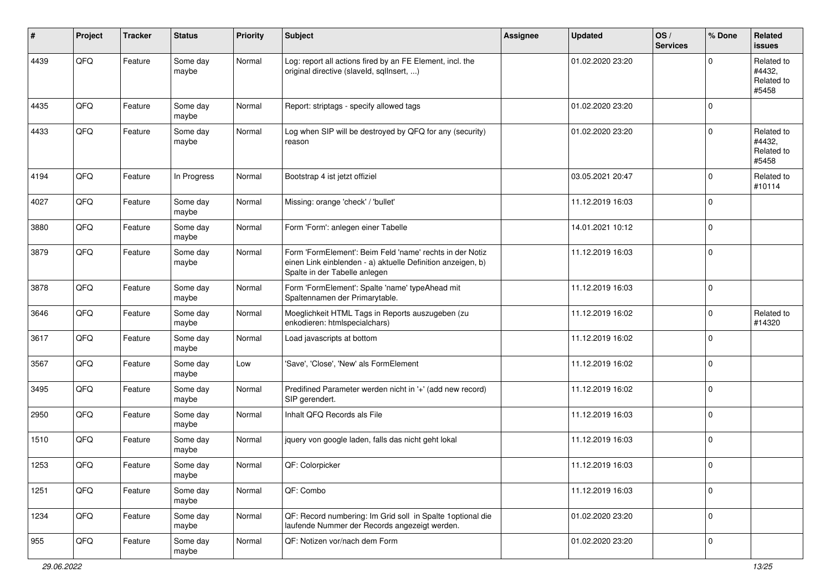| #    | Project | <b>Tracker</b> | <b>Status</b>     | <b>Priority</b> | <b>Subject</b>                                                                                                                                           | <b>Assignee</b> | <b>Updated</b>   | OS/<br><b>Services</b> | % Done              | Related<br><b>issues</b>                    |
|------|---------|----------------|-------------------|-----------------|----------------------------------------------------------------------------------------------------------------------------------------------------------|-----------------|------------------|------------------------|---------------------|---------------------------------------------|
| 4439 | QFQ     | Feature        | Some day<br>maybe | Normal          | Log: report all actions fired by an FE Element, incl. the<br>original directive (slaveld, sqllnsert, )                                                   |                 | 01.02.2020 23:20 |                        | $\mathbf 0$         | Related to<br>#4432,<br>Related to<br>#5458 |
| 4435 | QFQ     | Feature        | Some day<br>maybe | Normal          | Report: striptags - specify allowed tags                                                                                                                 |                 | 01.02.2020 23:20 |                        | $\mathbf 0$         |                                             |
| 4433 | QFQ     | Feature        | Some day<br>maybe | Normal          | Log when SIP will be destroyed by QFQ for any (security)<br>reason                                                                                       |                 | 01.02.2020 23:20 |                        | $\mathbf 0$         | Related to<br>#4432,<br>Related to<br>#5458 |
| 4194 | QFQ     | Feature        | In Progress       | Normal          | Bootstrap 4 ist jetzt offiziel                                                                                                                           |                 | 03.05.2021 20:47 |                        | $\mathbf 0$         | Related to<br>#10114                        |
| 4027 | QFQ     | Feature        | Some day<br>maybe | Normal          | Missing: orange 'check' / 'bullet'                                                                                                                       |                 | 11.12.2019 16:03 |                        | $\mathbf 0$         |                                             |
| 3880 | QFQ     | Feature        | Some day<br>maybe | Normal          | Form 'Form': anlegen einer Tabelle                                                                                                                       |                 | 14.01.2021 10:12 |                        | $\mathbf 0$         |                                             |
| 3879 | QFQ     | Feature        | Some day<br>maybe | Normal          | Form 'FormElement': Beim Feld 'name' rechts in der Notiz<br>einen Link einblenden - a) aktuelle Definition anzeigen, b)<br>Spalte in der Tabelle anlegen |                 | 11.12.2019 16:03 |                        | $\mathbf 0$         |                                             |
| 3878 | QFQ     | Feature        | Some day<br>maybe | Normal          | Form 'FormElement': Spalte 'name' typeAhead mit<br>Spaltennamen der Primarytable.                                                                        |                 | 11.12.2019 16:03 |                        | $\mathbf 0$         |                                             |
| 3646 | QFQ     | Feature        | Some day<br>maybe | Normal          | Moeglichkeit HTML Tags in Reports auszugeben (zu<br>enkodieren: htmlspecialchars)                                                                        |                 | 11.12.2019 16:02 |                        | $\mathbf 0$         | Related to<br>#14320                        |
| 3617 | QFQ     | Feature        | Some day<br>maybe | Normal          | Load javascripts at bottom                                                                                                                               |                 | 11.12.2019 16:02 |                        | $\mathbf 0$         |                                             |
| 3567 | QFQ     | Feature        | Some day<br>maybe | Low             | 'Save', 'Close', 'New' als FormElement                                                                                                                   |                 | 11.12.2019 16:02 |                        | $\mathbf 0$         |                                             |
| 3495 | QFQ     | Feature        | Some day<br>maybe | Normal          | Predifined Parameter werden nicht in '+' (add new record)<br>SIP gerendert.                                                                              |                 | 11.12.2019 16:02 |                        | $\mathbf 0$         |                                             |
| 2950 | QFQ     | Feature        | Some day<br>maybe | Normal          | Inhalt QFQ Records als File                                                                                                                              |                 | 11.12.2019 16:03 |                        | $\pmb{0}$           |                                             |
| 1510 | QFQ     | Feature        | Some day<br>maybe | Normal          | jquery von google laden, falls das nicht geht lokal                                                                                                      |                 | 11.12.2019 16:03 |                        | $\mathbf 0$         |                                             |
| 1253 | QFQ     | Feature        | Some day<br>maybe | Normal          | QF: Colorpicker                                                                                                                                          |                 | 11.12.2019 16:03 |                        | $\mathbf 0$         |                                             |
| 1251 | QFQ     | Feature        | Some day<br>maybe | Normal          | QF: Combo                                                                                                                                                |                 | 11.12.2019 16:03 |                        | $\mathsf{O}\xspace$ |                                             |
| 1234 | QFQ     | Feature        | Some day<br>maybe | Normal          | QF: Record numbering: Im Grid soll in Spalte 1optional die<br>laufende Nummer der Records angezeigt werden.                                              |                 | 01.02.2020 23:20 |                        | $\mathbf 0$         |                                             |
| 955  | QFQ     | Feature        | Some day<br>maybe | Normal          | QF: Notizen vor/nach dem Form                                                                                                                            |                 | 01.02.2020 23:20 |                        | $\mathsf 0$         |                                             |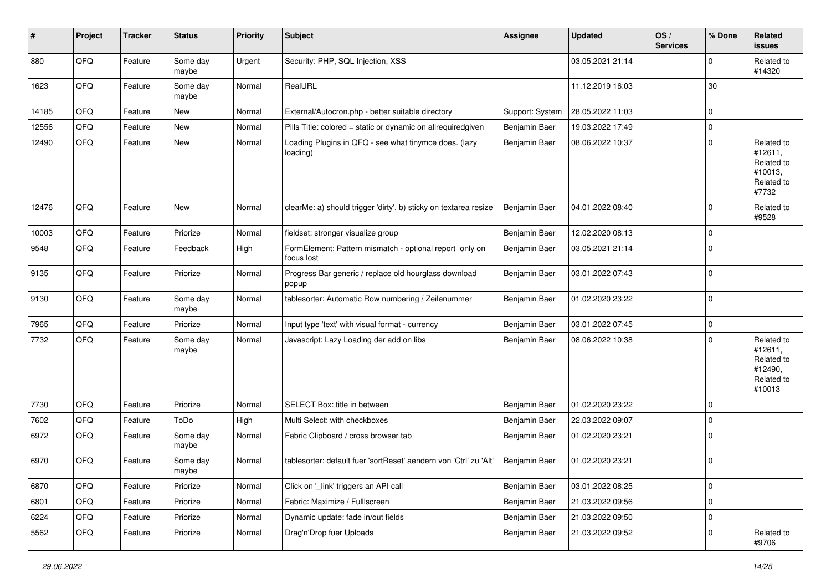| #     | Project | <b>Tracker</b> | <b>Status</b>     | <b>Priority</b> | <b>Subject</b>                                                        | <b>Assignee</b> | <b>Updated</b>   | OS/<br><b>Services</b> | % Done      | Related<br><b>issues</b>                                               |
|-------|---------|----------------|-------------------|-----------------|-----------------------------------------------------------------------|-----------------|------------------|------------------------|-------------|------------------------------------------------------------------------|
| 880   | QFQ     | Feature        | Some day<br>maybe | Urgent          | Security: PHP, SQL Injection, XSS                                     |                 | 03.05.2021 21:14 |                        | $\mathbf 0$ | Related to<br>#14320                                                   |
| 1623  | QFQ     | Feature        | Some day<br>maybe | Normal          | RealURL                                                               |                 | 11.12.2019 16:03 |                        | 30          |                                                                        |
| 14185 | QFQ     | Feature        | New               | Normal          | External/Autocron.php - better suitable directory                     | Support: System | 28.05.2022 11:03 |                        | $\mathbf 0$ |                                                                        |
| 12556 | QFQ     | Feature        | <b>New</b>        | Normal          | Pills Title: colored = static or dynamic on allrequiredgiven          | Benjamin Baer   | 19.03.2022 17:49 |                        | $\mathbf 0$ |                                                                        |
| 12490 | QFQ     | Feature        | New               | Normal          | Loading Plugins in QFQ - see what tinymce does. (lazy<br>loading)     | Benjamin Baer   | 08.06.2022 10:37 |                        | $\mathbf 0$ | Related to<br>#12611,<br>Related to<br>#10013,<br>Related to<br>#7732  |
| 12476 | QFQ     | Feature        | New               | Normal          | clearMe: a) should trigger 'dirty', b) sticky on textarea resize      | Benjamin Baer   | 04.01.2022 08:40 |                        | 0           | Related to<br>#9528                                                    |
| 10003 | QFQ     | Feature        | Priorize          | Normal          | fieldset: stronger visualize group                                    | Benjamin Baer   | 12.02.2020 08:13 |                        | $\mathbf 0$ |                                                                        |
| 9548  | QFQ     | Feature        | Feedback          | High            | FormElement: Pattern mismatch - optional report only on<br>focus lost | Benjamin Baer   | 03.05.2021 21:14 |                        | $\mathbf 0$ |                                                                        |
| 9135  | QFQ     | Feature        | Priorize          | Normal          | Progress Bar generic / replace old hourglass download<br>popup        | Benjamin Baer   | 03.01.2022 07:43 |                        | $\mathbf 0$ |                                                                        |
| 9130  | QFQ     | Feature        | Some day<br>maybe | Normal          | tablesorter: Automatic Row numbering / Zeilenummer                    | Benjamin Baer   | 01.02.2020 23:22 |                        | $\mathbf 0$ |                                                                        |
| 7965  | QFQ     | Feature        | Priorize          | Normal          | Input type 'text' with visual format - currency                       | Benjamin Baer   | 03.01.2022 07:45 |                        | $\mathbf 0$ |                                                                        |
| 7732  | QFQ     | Feature        | Some day<br>maybe | Normal          | Javascript: Lazy Loading der add on libs                              | Benjamin Baer   | 08.06.2022 10:38 |                        | $\mathbf 0$ | Related to<br>#12611,<br>Related to<br>#12490,<br>Related to<br>#10013 |
| 7730  | QFQ     | Feature        | Priorize          | Normal          | SELECT Box: title in between                                          | Benjamin Baer   | 01.02.2020 23:22 |                        | $\mathbf 0$ |                                                                        |
| 7602  | QFQ     | Feature        | ToDo              | High            | Multi Select: with checkboxes                                         | Benjamin Baer   | 22.03.2022 09:07 |                        | 0           |                                                                        |
| 6972  | QFQ     | Feature        | Some day<br>maybe | Normal          | Fabric Clipboard / cross browser tab                                  | Benjamin Baer   | 01.02.2020 23:21 |                        | $\mathbf 0$ |                                                                        |
| 6970  | QFQ     | Feature        | Some day<br>maybe | Normal          | tablesorter: default fuer 'sortReset' aendern von 'Ctrl' zu 'Alt'     | Benjamin Baer   | 01.02.2020 23:21 |                        | $\mathbf 0$ |                                                                        |
| 6870  | QFQ     | Feature        | Priorize          | Normal          | Click on '_link' triggers an API call                                 | Benjamin Baer   | 03.01.2022 08:25 |                        | $\mathbf 0$ |                                                                        |
| 6801  | QFQ     | Feature        | Priorize          | Normal          | Fabric: Maximize / FullIscreen                                        | Benjamin Baer   | 21.03.2022 09:56 |                        | $\mathbf 0$ |                                                                        |
| 6224  | QFQ     | Feature        | Priorize          | Normal          | Dynamic update: fade in/out fields                                    | Benjamin Baer   | 21.03.2022 09:50 |                        | $\mathbf 0$ |                                                                        |
| 5562  | QFQ     | Feature        | Priorize          | Normal          | Drag'n'Drop fuer Uploads                                              | Benjamin Baer   | 21.03.2022 09:52 |                        | 0           | Related to<br>#9706                                                    |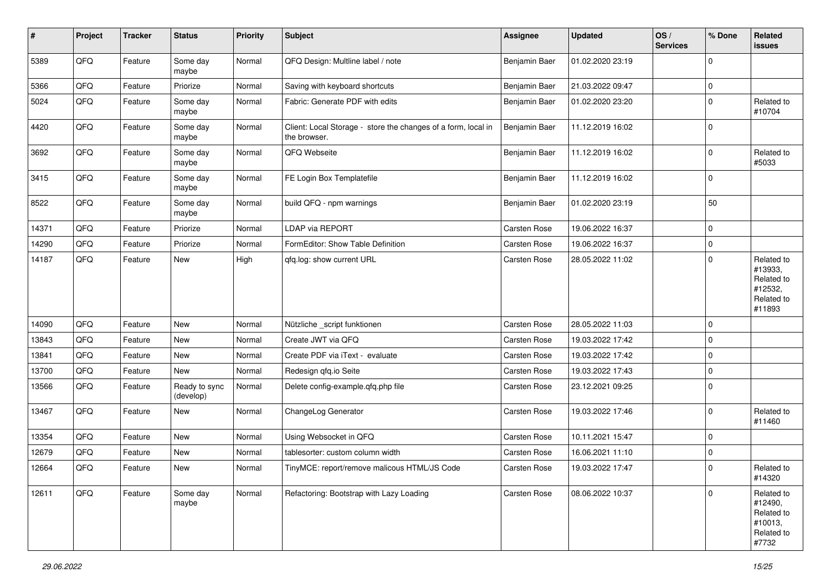| $\sharp$ | Project | <b>Tracker</b> | <b>Status</b>              | <b>Priority</b> | <b>Subject</b>                                                                | <b>Assignee</b> | <b>Updated</b>   | OS/<br><b>Services</b> | % Done      | Related<br><b>issues</b>                                               |
|----------|---------|----------------|----------------------------|-----------------|-------------------------------------------------------------------------------|-----------------|------------------|------------------------|-------------|------------------------------------------------------------------------|
| 5389     | QFQ     | Feature        | Some day<br>maybe          | Normal          | QFQ Design: Multline label / note                                             | Benjamin Baer   | 01.02.2020 23:19 |                        | $\Omega$    |                                                                        |
| 5366     | QFQ     | Feature        | Priorize                   | Normal          | Saving with keyboard shortcuts                                                | Benjamin Baer   | 21.03.2022 09:47 |                        | $\mathbf 0$ |                                                                        |
| 5024     | QFQ     | Feature        | Some day<br>maybe          | Normal          | Fabric: Generate PDF with edits                                               | Benjamin Baer   | 01.02.2020 23:20 |                        | 0           | Related to<br>#10704                                                   |
| 4420     | QFQ     | Feature        | Some day<br>maybe          | Normal          | Client: Local Storage - store the changes of a form, local in<br>the browser. | Benjamin Baer   | 11.12.2019 16:02 |                        | $\Omega$    |                                                                        |
| 3692     | QFQ     | Feature        | Some day<br>maybe          | Normal          | QFQ Webseite                                                                  | Benjamin Baer   | 11.12.2019 16:02 |                        | $\Omega$    | Related to<br>#5033                                                    |
| 3415     | QFQ     | Feature        | Some day<br>maybe          | Normal          | FE Login Box Templatefile                                                     | Benjamin Baer   | 11.12.2019 16:02 |                        | $\mathbf 0$ |                                                                        |
| 8522     | QFQ     | Feature        | Some day<br>maybe          | Normal          | build QFQ - npm warnings                                                      | Benjamin Baer   | 01.02.2020 23:19 |                        | 50          |                                                                        |
| 14371    | QFQ     | Feature        | Priorize                   | Normal          | <b>LDAP via REPORT</b>                                                        | Carsten Rose    | 19.06.2022 16:37 |                        | $\mathbf 0$ |                                                                        |
| 14290    | QFG     | Feature        | Priorize                   | Normal          | FormEditor: Show Table Definition                                             | Carsten Rose    | 19.06.2022 16:37 |                        | 0           |                                                                        |
| 14187    | QFQ     | Feature        | <b>New</b>                 | High            | qfq.log: show current URL                                                     | Carsten Rose    | 28.05.2022 11:02 |                        | $\Omega$    | Related to<br>#13933,<br>Related to<br>#12532,<br>Related to<br>#11893 |
| 14090    | QFQ     | Feature        | New                        | Normal          | Nützliche _script funktionen                                                  | Carsten Rose    | 28.05.2022 11:03 |                        | $\Omega$    |                                                                        |
| 13843    | QFQ     | Feature        | New                        | Normal          | Create JWT via QFQ                                                            | Carsten Rose    | 19.03.2022 17:42 |                        | $\mathbf 0$ |                                                                        |
| 13841    | QFQ     | Feature        | New                        | Normal          | Create PDF via iText - evaluate                                               | Carsten Rose    | 19.03.2022 17:42 |                        | $\mathbf 0$ |                                                                        |
| 13700    | QFQ     | Feature        | New                        | Normal          | Redesign qfq.io Seite                                                         | Carsten Rose    | 19.03.2022 17:43 |                        | $\Omega$    |                                                                        |
| 13566    | QFQ     | Feature        | Ready to sync<br>(develop) | Normal          | Delete config-example.qfq.php file                                            | Carsten Rose    | 23.12.2021 09:25 |                        | $\Omega$    |                                                                        |
| 13467    | QFQ     | Feature        | New                        | Normal          | ChangeLog Generator                                                           | Carsten Rose    | 19.03.2022 17:46 |                        | $\mathbf 0$ | Related to<br>#11460                                                   |
| 13354    | QFQ     | Feature        | New                        | Normal          | Using Websocket in QFQ                                                        | Carsten Rose    | 10.11.2021 15:47 |                        | $\Omega$    |                                                                        |
| 12679    | QFQ     | Feature        | <b>New</b>                 | Normal          | tablesorter: custom column width                                              | Carsten Rose    | 16.06.2021 11:10 |                        | $\Omega$    |                                                                        |
| 12664    | QFQ     | Feature        | New                        | Normal          | TinyMCE: report/remove malicous HTML/JS Code                                  | Carsten Rose    | 19.03.2022 17:47 |                        | $\mathbf 0$ | Related to<br>#14320                                                   |
| 12611    | QFG     | Feature        | Some day<br>maybe          | Normal          | Refactoring: Bootstrap with Lazy Loading                                      | Carsten Rose    | 08.06.2022 10:37 |                        | $\Omega$    | Related to<br>#12490,<br>Related to<br>#10013,<br>Related to<br>#7732  |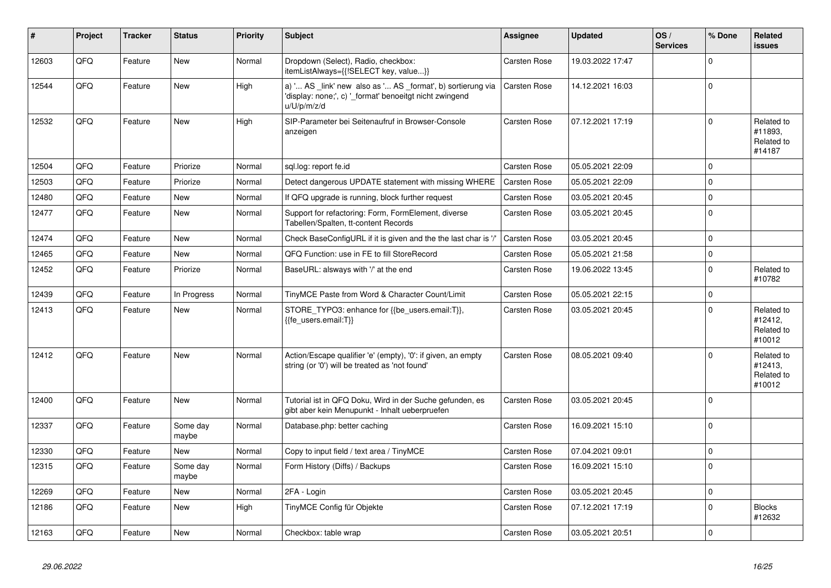| #     | Project | <b>Tracker</b> | <b>Status</b>     | <b>Priority</b> | <b>Subject</b>                                                                                                                        | Assignee            | <b>Updated</b>   | OS/<br><b>Services</b> | % Done      | Related<br><b>issues</b>                      |
|-------|---------|----------------|-------------------|-----------------|---------------------------------------------------------------------------------------------------------------------------------------|---------------------|------------------|------------------------|-------------|-----------------------------------------------|
| 12603 | QFQ     | Feature        | <b>New</b>        | Normal          | Dropdown (Select), Radio, checkbox:<br>itemListAlways={{!SELECT key, value}}                                                          | Carsten Rose        | 19.03.2022 17:47 |                        | $\Omega$    |                                               |
| 12544 | QFQ     | Feature        | <b>New</b>        | High            | a) ' AS _link' new also as ' AS _format', b) sortierung via<br>'display: none;', c) '_format' benoeitgt nicht zwingend<br>u/U/p/m/z/d | <b>Carsten Rose</b> | 14.12.2021 16:03 |                        | $\Omega$    |                                               |
| 12532 | QFQ     | Feature        | <b>New</b>        | High            | SIP-Parameter bei Seitenaufruf in Browser-Console<br>anzeigen                                                                         | Carsten Rose        | 07.12.2021 17:19 |                        | $\Omega$    | Related to<br>#11893,<br>Related to<br>#14187 |
| 12504 | QFQ     | Feature        | Priorize          | Normal          | sql.log: report fe.id                                                                                                                 | Carsten Rose        | 05.05.2021 22:09 |                        | $\mathbf 0$ |                                               |
| 12503 | QFQ     | Feature        | Priorize          | Normal          | Detect dangerous UPDATE statement with missing WHERE                                                                                  | Carsten Rose        | 05.05.2021 22:09 |                        | $\Omega$    |                                               |
| 12480 | QFQ     | Feature        | <b>New</b>        | Normal          | If QFQ upgrade is running, block further request                                                                                      | <b>Carsten Rose</b> | 03.05.2021 20:45 |                        | $\mathbf 0$ |                                               |
| 12477 | QFQ     | Feature        | <b>New</b>        | Normal          | Support for refactoring: Form, FormElement, diverse<br>Tabellen/Spalten, tt-content Records                                           | Carsten Rose        | 03.05.2021 20:45 |                        | $\Omega$    |                                               |
| 12474 | QFQ     | Feature        | <b>New</b>        | Normal          | Check BaseConfigURL if it is given and the the last char is '/'                                                                       | <b>Carsten Rose</b> | 03.05.2021 20:45 |                        | $\mathsf 0$ |                                               |
| 12465 | QFQ     | Feature        | <b>New</b>        | Normal          | QFQ Function: use in FE to fill StoreRecord                                                                                           | Carsten Rose        | 05.05.2021 21:58 |                        | $\Omega$    |                                               |
| 12452 | QFQ     | Feature        | Priorize          | Normal          | BaseURL: alsways with '/' at the end                                                                                                  | <b>Carsten Rose</b> | 19.06.2022 13:45 |                        | $\Omega$    | Related to<br>#10782                          |
| 12439 | QFQ     | Feature        | In Progress       | Normal          | TinyMCE Paste from Word & Character Count/Limit                                                                                       | Carsten Rose        | 05.05.2021 22:15 |                        | $\Omega$    |                                               |
| 12413 | QFQ     | Feature        | <b>New</b>        | Normal          | STORE TYPO3: enhance for {{be users.email:T}},<br>{{fe users.email:T}}                                                                | <b>Carsten Rose</b> | 03.05.2021 20:45 |                        | $\Omega$    | Related to<br>#12412,<br>Related to<br>#10012 |
| 12412 | QFQ     | Feature        | <b>New</b>        | Normal          | Action/Escape qualifier 'e' (empty), '0': if given, an empty<br>string (or '0') will be treated as 'not found'                        | <b>Carsten Rose</b> | 08.05.2021 09:40 |                        | $\mathbf 0$ | Related to<br>#12413.<br>Related to<br>#10012 |
| 12400 | QFQ     | Feature        | <b>New</b>        | Normal          | Tutorial ist in QFQ Doku, Wird in der Suche gefunden, es<br>gibt aber kein Menupunkt - Inhalt ueberpruefen                            | <b>Carsten Rose</b> | 03.05.2021 20:45 |                        | $\Omega$    |                                               |
| 12337 | QFQ     | Feature        | Some day<br>maybe | Normal          | Database.php: better caching                                                                                                          | Carsten Rose        | 16.09.2021 15:10 |                        | $\Omega$    |                                               |
| 12330 | QFQ     | Feature        | New               | Normal          | Copy to input field / text area / TinyMCE                                                                                             | <b>Carsten Rose</b> | 07.04.2021 09:01 |                        | $\mathbf 0$ |                                               |
| 12315 | QFQ     | Feature        | Some day<br>maybe | Normal          | Form History (Diffs) / Backups                                                                                                        | <b>Carsten Rose</b> | 16.09.2021 15:10 |                        | $\Omega$    |                                               |
| 12269 | QFQ     | Feature        | <b>New</b>        | Normal          | 2FA - Login                                                                                                                           | <b>Carsten Rose</b> | 03.05.2021 20:45 |                        | $\mathbf 0$ |                                               |
| 12186 | QFQ     | Feature        | New               | High            | TinyMCE Config für Objekte                                                                                                            | <b>Carsten Rose</b> | 07.12.2021 17:19 |                        | $\Omega$    | <b>Blocks</b><br>#12632                       |
| 12163 | QFQ     | Feature        | <b>New</b>        | Normal          | Checkbox: table wrap                                                                                                                  | Carsten Rose        | 03.05.2021 20:51 |                        | $\Omega$    |                                               |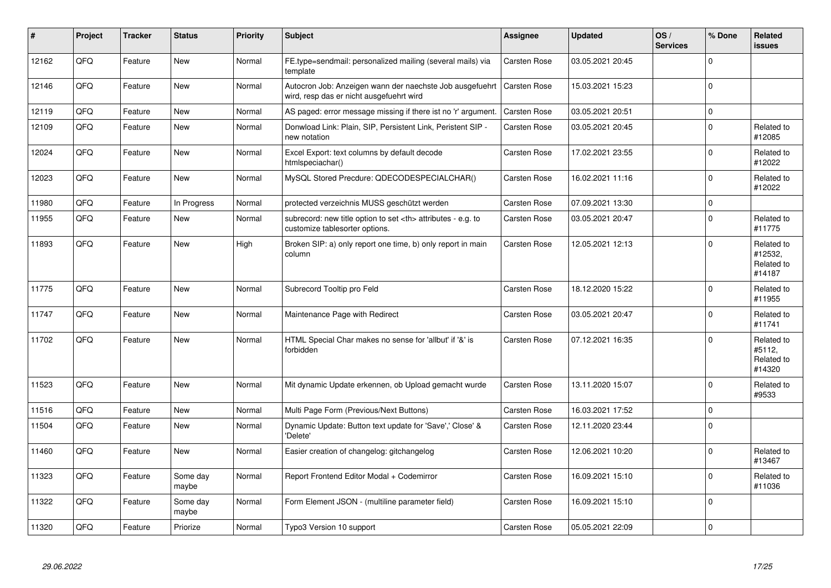| #     | Project | <b>Tracker</b> | <b>Status</b>     | <b>Priority</b> | <b>Subject</b>                                                                                       | Assignee                                               | <b>Updated</b>      | OS/<br><b>Services</b> | % Done      | <b>Related</b><br><b>issues</b>               |                      |
|-------|---------|----------------|-------------------|-----------------|------------------------------------------------------------------------------------------------------|--------------------------------------------------------|---------------------|------------------------|-------------|-----------------------------------------------|----------------------|
| 12162 | QFQ     | Feature        | <b>New</b>        | Normal          | FE.type=sendmail: personalized mailing (several mails) via<br>template                               | Carsten Rose                                           | 03.05.2021 20:45    |                        | $\Omega$    |                                               |                      |
| 12146 | QFQ     | Feature        | <b>New</b>        | Normal          | Autocron Job: Anzeigen wann der naechste Job ausgefuehrt<br>wird, resp das er nicht ausgefuehrt wird | Carsten Rose                                           | 15.03.2021 15:23    |                        | $\mathbf 0$ |                                               |                      |
| 12119 | QFQ     | Feature        | <b>New</b>        | Normal          | AS paged: error message missing if there ist no 'r' argument.                                        | Carsten Rose                                           | 03.05.2021 20:51    |                        | $\mathsf 0$ |                                               |                      |
| 12109 | QFQ     | Feature        | <b>New</b>        | Normal          | Donwload Link: Plain, SIP, Persistent Link, Peristent SIP -<br>new notation                          | Carsten Rose                                           | 03.05.2021 20:45    |                        | $\mathsf 0$ | Related to<br>#12085                          |                      |
| 12024 | QFQ     | Feature        | <b>New</b>        | Normal          | Excel Export: text columns by default decode<br>htmlspeciachar()                                     | Carsten Rose                                           | 17.02.2021 23:55    |                        | $\mathbf 0$ | Related to<br>#12022                          |                      |
| 12023 | QFQ     | Feature        | <b>New</b>        | Normal          | MySQL Stored Precdure: QDECODESPECIALCHAR()                                                          | <b>Carsten Rose</b>                                    | 16.02.2021 11:16    |                        | $\Omega$    | Related to<br>#12022                          |                      |
| 11980 | QFQ     | Feature        | In Progress       | Normal          | protected verzeichnis MUSS geschützt werden                                                          | <b>Carsten Rose</b>                                    | 07.09.2021 13:30    |                        | $\mathbf 0$ |                                               |                      |
| 11955 | QFQ     | Feature        | <b>New</b>        | Normal          | subrecord: new title option to set <th> attributes - e.g. to<br/>customize tablesorter options.</th> | attributes - e.g. to<br>customize tablesorter options. | <b>Carsten Rose</b> | 03.05.2021 20:47       |             | $\Omega$                                      | Related to<br>#11775 |
| 11893 | QFQ     | Feature        | <b>New</b>        | High            | Broken SIP: a) only report one time, b) only report in main<br>column                                | <b>Carsten Rose</b>                                    | 12.05.2021 12:13    |                        | $\Omega$    | Related to<br>#12532,<br>Related to<br>#14187 |                      |
| 11775 | QFQ     | Feature        | <b>New</b>        | Normal          | Subrecord Tooltip pro Feld                                                                           | Carsten Rose                                           | 18.12.2020 15:22    |                        | $\Omega$    | Related to<br>#11955                          |                      |
| 11747 | QFQ     | Feature        | <b>New</b>        | Normal          | Maintenance Page with Redirect                                                                       | Carsten Rose                                           | 03.05.2021 20:47    |                        | $\mathbf 0$ | Related to<br>#11741                          |                      |
| 11702 | QFQ     | Feature        | <b>New</b>        | Normal          | HTML Special Char makes no sense for 'allbut' if '&' is<br>forbidden                                 | Carsten Rose                                           | 07.12.2021 16:35    |                        | $\mathbf 0$ | Related to<br>#5112,<br>Related to<br>#14320  |                      |
| 11523 | QFQ     | Feature        | <b>New</b>        | Normal          | Mit dynamic Update erkennen, ob Upload gemacht wurde                                                 | <b>Carsten Rose</b>                                    | 13.11.2020 15:07    |                        | $\mathbf 0$ | Related to<br>#9533                           |                      |
| 11516 | QFQ     | Feature        | <b>New</b>        | Normal          | Multi Page Form (Previous/Next Buttons)                                                              | <b>Carsten Rose</b>                                    | 16.03.2021 17:52    |                        | $\pmb{0}$   |                                               |                      |
| 11504 | QFQ     | Feature        | <b>New</b>        | Normal          | Dynamic Update: Button text update for 'Save',' Close' &<br>'Delete'                                 | Carsten Rose                                           | 12.11.2020 23:44    |                        | $\mathbf 0$ |                                               |                      |
| 11460 | QFQ     | Feature        | <b>New</b>        | Normal          | Easier creation of changelog: gitchangelog                                                           | Carsten Rose                                           | 12.06.2021 10:20    |                        | $\mathbf 0$ | Related to<br>#13467                          |                      |
| 11323 | QFQ     | Feature        | Some day<br>maybe | Normal          | Report Frontend Editor Modal + Codemirror                                                            | Carsten Rose                                           | 16.09.2021 15:10    |                        | $\Omega$    | Related to<br>#11036                          |                      |
| 11322 | QFQ     | Feature        | Some day<br>maybe | Normal          | Form Element JSON - (multiline parameter field)                                                      | Carsten Rose                                           | 16.09.2021 15:10    |                        | $\mathbf 0$ |                                               |                      |
| 11320 | QFQ     | Feature        | Priorize          | Normal          | Typo3 Version 10 support                                                                             | <b>Carsten Rose</b>                                    | 05.05.2021 22:09    |                        | $\pmb{0}$   |                                               |                      |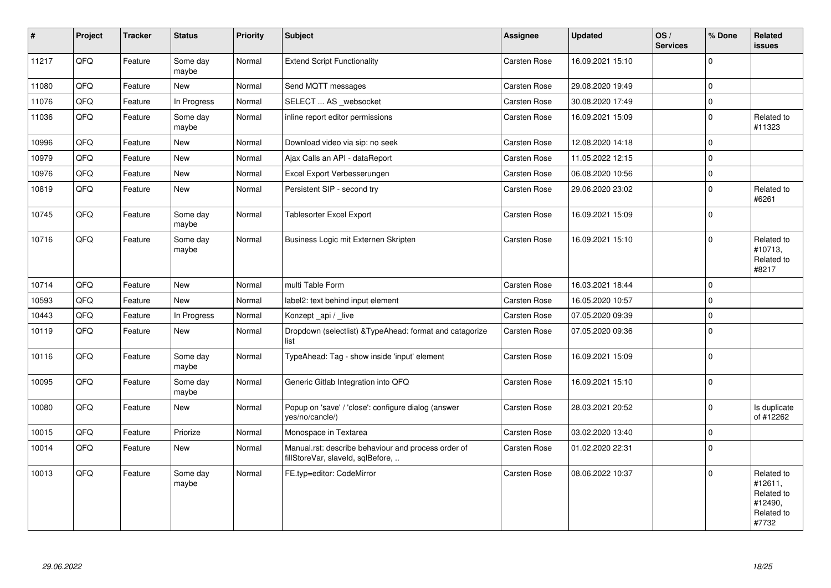| $\sharp$ | Project | <b>Tracker</b> | <b>Status</b>     | <b>Priority</b> | Subject                                                                                  | Assignee            | <b>Updated</b>   | OS/<br><b>Services</b> | % Done      | Related<br><b>issues</b>                                              |
|----------|---------|----------------|-------------------|-----------------|------------------------------------------------------------------------------------------|---------------------|------------------|------------------------|-------------|-----------------------------------------------------------------------|
| 11217    | QFQ     | Feature        | Some day<br>maybe | Normal          | <b>Extend Script Functionality</b>                                                       | Carsten Rose        | 16.09.2021 15:10 |                        | $\Omega$    |                                                                       |
| 11080    | QFQ     | Feature        | <b>New</b>        | Normal          | Send MQTT messages                                                                       | <b>Carsten Rose</b> | 29.08.2020 19:49 |                        | $\mathbf 0$ |                                                                       |
| 11076    | QFQ     | Feature        | In Progress       | Normal          | SELECT  AS _websocket                                                                    | Carsten Rose        | 30.08.2020 17:49 |                        | $\mathbf 0$ |                                                                       |
| 11036    | QFG     | Feature        | Some day<br>maybe | Normal          | inline report editor permissions                                                         | Carsten Rose        | 16.09.2021 15:09 |                        | $\mathbf 0$ | Related to<br>#11323                                                  |
| 10996    | QFQ     | Feature        | New               | Normal          | Download video via sip: no seek                                                          | Carsten Rose        | 12.08.2020 14:18 |                        | $\Omega$    |                                                                       |
| 10979    | QFQ     | Feature        | <b>New</b>        | Normal          | Ajax Calls an API - dataReport                                                           | <b>Carsten Rose</b> | 11.05.2022 12:15 |                        | $\mathbf 0$ |                                                                       |
| 10976    | QFQ     | Feature        | New               | Normal          | Excel Export Verbesserungen                                                              | <b>Carsten Rose</b> | 06.08.2020 10:56 |                        | $\mathbf 0$ |                                                                       |
| 10819    | QFQ     | Feature        | <b>New</b>        | Normal          | Persistent SIP - second try                                                              | Carsten Rose        | 29.06.2020 23:02 |                        | $\Omega$    | Related to<br>#6261                                                   |
| 10745    | QFQ     | Feature        | Some day<br>maybe | Normal          | Tablesorter Excel Export                                                                 | Carsten Rose        | 16.09.2021 15:09 |                        | $\mathbf 0$ |                                                                       |
| 10716    | QFQ     | Feature        | Some day<br>maybe | Normal          | Business Logic mit Externen Skripten                                                     | Carsten Rose        | 16.09.2021 15:10 |                        | $\Omega$    | Related to<br>#10713,<br>Related to<br>#8217                          |
| 10714    | QFQ     | Feature        | <b>New</b>        | Normal          | multi Table Form                                                                         | Carsten Rose        | 16.03.2021 18:44 |                        | $\mathbf 0$ |                                                                       |
| 10593    | QFQ     | Feature        | <b>New</b>        | Normal          | label2: text behind input element                                                        | <b>Carsten Rose</b> | 16.05.2020 10:57 |                        | $\Omega$    |                                                                       |
| 10443    | QFQ     | Feature        | In Progress       | Normal          | Konzept api / live                                                                       | <b>Carsten Rose</b> | 07.05.2020 09:39 |                        | $\mathbf 0$ |                                                                       |
| 10119    | QFQ     | Feature        | <b>New</b>        | Normal          | Dropdown (selectlist) & TypeAhead: format and catagorize<br>list                         | Carsten Rose        | 07.05.2020 09:36 |                        | $\Omega$    |                                                                       |
| 10116    | QFQ     | Feature        | Some day<br>maybe | Normal          | TypeAhead: Tag - show inside 'input' element                                             | Carsten Rose        | 16.09.2021 15:09 |                        | $\Omega$    |                                                                       |
| 10095    | QFQ     | Feature        | Some day<br>maybe | Normal          | Generic Gitlab Integration into QFQ                                                      | Carsten Rose        | 16.09.2021 15:10 |                        | $\Omega$    |                                                                       |
| 10080    | QFQ     | Feature        | <b>New</b>        | Normal          | Popup on 'save' / 'close': configure dialog (answer<br>yes/no/cancle/)                   | Carsten Rose        | 28.03.2021 20:52 |                        | $\Omega$    | Is duplicate<br>of #12262                                             |
| 10015    | QFQ     | Feature        | Priorize          | Normal          | Monospace in Textarea                                                                    | Carsten Rose        | 03.02.2020 13:40 |                        | $\mathbf 0$ |                                                                       |
| 10014    | QFQ     | Feature        | New               | Normal          | Manual.rst: describe behaviour and process order of<br>fillStoreVar, slaveId, sqlBefore, | <b>Carsten Rose</b> | 01.02.2020 22:31 |                        | $\Omega$    |                                                                       |
| 10013    | QFG     | Feature        | Some day<br>maybe | Normal          | FE.typ=editor: CodeMirror                                                                | Carsten Rose        | 08.06.2022 10:37 |                        | $\Omega$    | Related to<br>#12611,<br>Related to<br>#12490,<br>Related to<br>#7732 |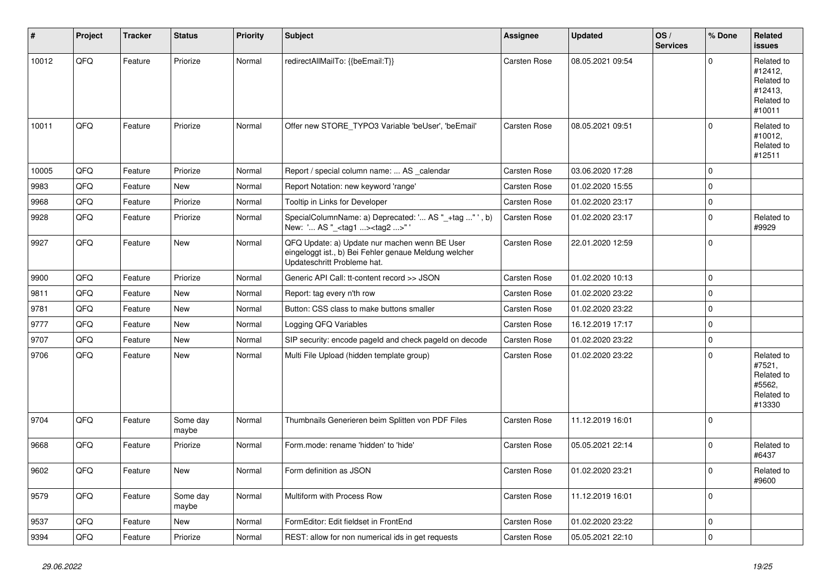| #     | Project | <b>Tracker</b> | <b>Status</b>     | <b>Priority</b> | <b>Subject</b>                                                                                                                        | Assignee            | <b>Updated</b>   | OS/<br><b>Services</b> | % Done      | Related<br><b>issues</b>                                               |
|-------|---------|----------------|-------------------|-----------------|---------------------------------------------------------------------------------------------------------------------------------------|---------------------|------------------|------------------------|-------------|------------------------------------------------------------------------|
| 10012 | QFQ     | Feature        | Priorize          | Normal          | redirectAllMailTo: {{beEmail:T}}                                                                                                      | <b>Carsten Rose</b> | 08.05.2021 09:54 |                        | $\Omega$    | Related to<br>#12412,<br>Related to<br>#12413,<br>Related to<br>#10011 |
| 10011 | QFQ     | Feature        | Priorize          | Normal          | Offer new STORE_TYPO3 Variable 'beUser', 'beEmail'                                                                                    | Carsten Rose        | 08.05.2021 09:51 |                        | $\Omega$    | Related to<br>#10012,<br>Related to<br>#12511                          |
| 10005 | QFQ     | Feature        | Priorize          | Normal          | Report / special column name:  AS _calendar                                                                                           | Carsten Rose        | 03.06.2020 17:28 |                        | $\Omega$    |                                                                        |
| 9983  | QFQ     | Feature        | <b>New</b>        | Normal          | Report Notation: new keyword 'range'                                                                                                  | Carsten Rose        | 01.02.2020 15:55 |                        | $\Omega$    |                                                                        |
| 9968  | QFQ     | Feature        | Priorize          | Normal          | Tooltip in Links for Developer                                                                                                        | <b>Carsten Rose</b> | 01.02.2020 23:17 |                        | $\mathbf 0$ |                                                                        |
| 9928  | QFQ     | Feature        | Priorize          | Normal          | SpecialColumnName: a) Deprecated: ' AS "_+tag " ', b)<br>New: ' AS "_ <tag1><tag2>"</tag2></tag1>                                     | <b>Carsten Rose</b> | 01.02.2020 23:17 |                        | $\Omega$    | Related to<br>#9929                                                    |
| 9927  | QFQ     | Feature        | <b>New</b>        | Normal          | QFQ Update: a) Update nur machen wenn BE User<br>eingeloggt ist., b) Bei Fehler genaue Meldung welcher<br>Updateschritt Probleme hat. | Carsten Rose        | 22.01.2020 12:59 |                        | $\Omega$    |                                                                        |
| 9900  | QFQ     | Feature        | Priorize          | Normal          | Generic API Call: tt-content record >> JSON                                                                                           | Carsten Rose        | 01.02.2020 10:13 |                        | $\mathbf 0$ |                                                                        |
| 9811  | QFQ     | Feature        | <b>New</b>        | Normal          | Report: tag every n'th row                                                                                                            | <b>Carsten Rose</b> | 01.02.2020 23:22 |                        | $\Omega$    |                                                                        |
| 9781  | QFQ     | Feature        | <b>New</b>        | Normal          | Button: CSS class to make buttons smaller                                                                                             | <b>Carsten Rose</b> | 01.02.2020 23:22 |                        | $\Omega$    |                                                                        |
| 9777  | QFQ     | Feature        | <b>New</b>        | Normal          | Logging QFQ Variables                                                                                                                 | Carsten Rose        | 16.12.2019 17:17 |                        | $\Omega$    |                                                                        |
| 9707  | QFQ     | Feature        | <b>New</b>        | Normal          | SIP security: encode pageld and check pageld on decode                                                                                | Carsten Rose        | 01.02.2020 23:22 |                        | $\Omega$    |                                                                        |
| 9706  | QFQ     | Feature        | New               | Normal          | Multi File Upload (hidden template group)                                                                                             | Carsten Rose        | 01.02.2020 23:22 |                        | $\Omega$    | Related to<br>#7521,<br>Related to<br>#5562,<br>Related to<br>#13330   |
| 9704  | QFQ     | Feature        | Some day<br>maybe | Normal          | Thumbnails Generieren beim Splitten von PDF Files                                                                                     | <b>Carsten Rose</b> | 11.12.2019 16:01 |                        | $\Omega$    |                                                                        |
| 9668  | QFQ     | Feature        | Priorize          | Normal          | Form.mode: rename 'hidden' to 'hide'                                                                                                  | <b>Carsten Rose</b> | 05.05.2021 22:14 |                        | $\Omega$    | Related to<br>#6437                                                    |
| 9602  | QFQ     | Feature        | <b>New</b>        | Normal          | Form definition as JSON                                                                                                               | <b>Carsten Rose</b> | 01.02.2020 23:21 |                        | $\Omega$    | Related to<br>#9600                                                    |
| 9579  | QFQ     | Feature        | Some day<br>maybe | Normal          | Multiform with Process Row                                                                                                            | <b>Carsten Rose</b> | 11.12.2019 16:01 |                        | $\mathbf 0$ |                                                                        |
| 9537  | QFQ     | Feature        | New               | Normal          | FormEditor: Edit fieldset in FrontEnd                                                                                                 | <b>Carsten Rose</b> | 01.02.2020 23:22 |                        | $\mathbf 0$ |                                                                        |
| 9394  | QFQ     | Feature        | Priorize          | Normal          | REST: allow for non numerical ids in get requests                                                                                     | Carsten Rose        | 05.05.2021 22:10 |                        | $\Omega$    |                                                                        |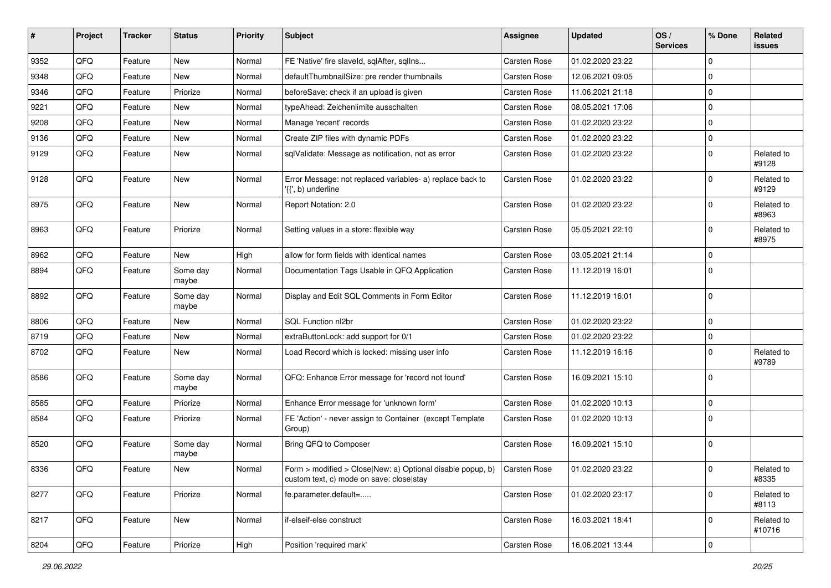| #    | Project | <b>Tracker</b> | <b>Status</b>     | <b>Priority</b> | <b>Subject</b>                                                                                                             | <b>Assignee</b> | <b>Updated</b>   | OS/<br><b>Services</b> | % Done         | Related<br>issues    |
|------|---------|----------------|-------------------|-----------------|----------------------------------------------------------------------------------------------------------------------------|-----------------|------------------|------------------------|----------------|----------------------|
| 9352 | QFQ     | Feature        | <b>New</b>        | Normal          | FE 'Native' fire slaveld, sqlAfter, sqlIns                                                                                 | Carsten Rose    | 01.02.2020 23:22 |                        | $\Omega$       |                      |
| 9348 | QFQ     | Feature        | New               | Normal          | defaultThumbnailSize: pre render thumbnails                                                                                | Carsten Rose    | 12.06.2021 09:05 |                        | $\Omega$       |                      |
| 9346 | QFQ     | Feature        | Priorize          | Normal          | beforeSave: check if an upload is given                                                                                    | Carsten Rose    | 11.06.2021 21:18 |                        | $\Omega$       |                      |
| 9221 | QFQ     | Feature        | New               | Normal          | typeAhead: Zeichenlimite ausschalten                                                                                       | Carsten Rose    | 08.05.2021 17:06 |                        | 0              |                      |
| 9208 | QFQ     | Feature        | New               | Normal          | Manage 'recent' records                                                                                                    | Carsten Rose    | 01.02.2020 23:22 |                        | $\Omega$       |                      |
| 9136 | QFQ     | Feature        | New               | Normal          | Create ZIP files with dynamic PDFs                                                                                         | Carsten Rose    | 01.02.2020 23:22 |                        | $\Omega$       |                      |
| 9129 | QFQ     | Feature        | New               | Normal          | sqlValidate: Message as notification, not as error                                                                         | Carsten Rose    | 01.02.2020 23:22 |                        | $\Omega$       | Related to<br>#9128  |
| 9128 | QFQ     | Feature        | <b>New</b>        | Normal          | Error Message: not replaced variables- a) replace back to<br>'{{', b) underline                                            | Carsten Rose    | 01.02.2020 23:22 |                        | $\mathbf 0$    | Related to<br>#9129  |
| 8975 | QFQ     | Feature        | New               | Normal          | Report Notation: 2.0                                                                                                       | Carsten Rose    | 01.02.2020 23:22 |                        | $\Omega$       | Related to<br>#8963  |
| 8963 | QFQ     | Feature        | Priorize          | Normal          | Setting values in a store: flexible way                                                                                    | Carsten Rose    | 05.05.2021 22:10 |                        | $\Omega$       | Related to<br>#8975  |
| 8962 | QFQ     | Feature        | <b>New</b>        | High            | allow for form fields with identical names                                                                                 | Carsten Rose    | 03.05.2021 21:14 |                        | $\mathbf 0$    |                      |
| 8894 | QFQ     | Feature        | Some day<br>maybe | Normal          | Documentation Tags Usable in QFQ Application                                                                               | Carsten Rose    | 11.12.2019 16:01 |                        | $\Omega$       |                      |
| 8892 | QFQ     | Feature        | Some day<br>maybe | Normal          | Display and Edit SQL Comments in Form Editor                                                                               | Carsten Rose    | 11.12.2019 16:01 |                        | $\mathbf 0$    |                      |
| 8806 | QFQ     | Feature        | <b>New</b>        | Normal          | SQL Function nl2br                                                                                                         | Carsten Rose    | 01.02.2020 23:22 |                        | $\mathbf 0$    |                      |
| 8719 | QFQ     | Feature        | <b>New</b>        | Normal          | extraButtonLock: add support for 0/1                                                                                       | Carsten Rose    | 01.02.2020 23:22 |                        | $\Omega$       |                      |
| 8702 | QFQ     | Feature        | New               | Normal          | Load Record which is locked: missing user info                                                                             | Carsten Rose    | 11.12.2019 16:16 |                        | $\Omega$       | Related to<br>#9789  |
| 8586 | QFQ     | Feature        | Some day<br>maybe | Normal          | QFQ: Enhance Error message for 'record not found'                                                                          | Carsten Rose    | 16.09.2021 15:10 |                        | $\Omega$       |                      |
| 8585 | QFQ     | Feature        | Priorize          | Normal          | Enhance Error message for 'unknown form'                                                                                   | Carsten Rose    | 01.02.2020 10:13 |                        | $\mathbf 0$    |                      |
| 8584 | QFQ     | Feature        | Priorize          | Normal          | FE 'Action' - never assign to Container (except Template<br>Group)                                                         | Carsten Rose    | 01.02.2020 10:13 |                        | $\Omega$       |                      |
| 8520 | QFQ     | Feature        | Some day<br>maybe | Normal          | Bring QFQ to Composer                                                                                                      | Carsten Rose    | 16.09.2021 15:10 |                        | $\mathbf 0$    |                      |
| 8336 | QFQ     | Feature        | New               | Normal          | Form > modified > Close New: a) Optional disable popup, b) $\int$ Carsten Rose<br>custom text, c) mode on save: close stay |                 | 01.02.2020 23:22 |                        | $\mathbf 0$    | Related to<br>#8335  |
| 8277 | QFQ     | Feature        | Priorize          | Normal          | fe.parameter.default=                                                                                                      | Carsten Rose    | 01.02.2020 23:17 |                        | $\mathbf 0$    | Related to<br>#8113  |
| 8217 | QFQ     | Feature        | New               | Normal          | if-elseif-else construct                                                                                                   | Carsten Rose    | 16.03.2021 18:41 |                        | $\mathbf 0$    | Related to<br>#10716 |
| 8204 | QFG     | Feature        | Priorize          | High            | Position 'required mark'                                                                                                   | Carsten Rose    | 16.06.2021 13:44 |                        | $\overline{0}$ |                      |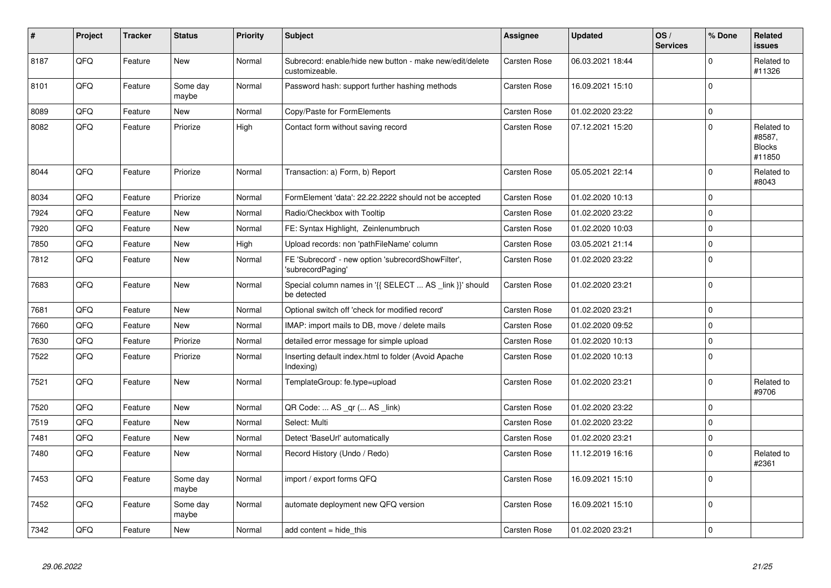| $\vert$ # | Project | <b>Tracker</b> | <b>Status</b>     | <b>Priority</b> | <b>Subject</b>                                                             | Assignee            | <b>Updated</b>   | OS/<br><b>Services</b> | % Done      | Related<br><b>issues</b>                        |
|-----------|---------|----------------|-------------------|-----------------|----------------------------------------------------------------------------|---------------------|------------------|------------------------|-------------|-------------------------------------------------|
| 8187      | QFQ     | Feature        | <b>New</b>        | Normal          | Subrecord: enable/hide new button - make new/edit/delete<br>customizeable. | Carsten Rose        | 06.03.2021 18:44 |                        | $\Omega$    | Related to<br>#11326                            |
| 8101      | QFQ     | Feature        | Some day<br>maybe | Normal          | Password hash: support further hashing methods                             | Carsten Rose        | 16.09.2021 15:10 |                        | $\Omega$    |                                                 |
| 8089      | QFQ     | Feature        | <b>New</b>        | Normal          | Copy/Paste for FormElements                                                | Carsten Rose        | 01.02.2020 23:22 |                        | $\mathbf 0$ |                                                 |
| 8082      | QFQ     | Feature        | Priorize          | High            | Contact form without saving record                                         | <b>Carsten Rose</b> | 07.12.2021 15:20 |                        | $\Omega$    | Related to<br>#8587,<br><b>Blocks</b><br>#11850 |
| 8044      | QFQ     | Feature        | Priorize          | Normal          | Transaction: a) Form, b) Report                                            | <b>Carsten Rose</b> | 05.05.2021 22:14 |                        | $\Omega$    | Related to<br>#8043                             |
| 8034      | QFQ     | Feature        | Priorize          | Normal          | FormElement 'data': 22.22.2222 should not be accepted                      | <b>Carsten Rose</b> | 01.02.2020 10:13 |                        | $\Omega$    |                                                 |
| 7924      | QFQ     | Feature        | <b>New</b>        | Normal          | Radio/Checkbox with Tooltip                                                | Carsten Rose        | 01.02.2020 23:22 |                        | $\Omega$    |                                                 |
| 7920      | QFQ     | Feature        | <b>New</b>        | Normal          | FE: Syntax Highlight, Zeinlenumbruch                                       | <b>Carsten Rose</b> | 01.02.2020 10:03 |                        | $\Omega$    |                                                 |
| 7850      | QFQ     | Feature        | <b>New</b>        | High            | Upload records: non 'pathFileName' column                                  | <b>Carsten Rose</b> | 03.05.2021 21:14 |                        | $\Omega$    |                                                 |
| 7812      | QFQ     | Feature        | <b>New</b>        | Normal          | FE 'Subrecord' - new option 'subrecordShowFilter',<br>'subrecordPaging'    | <b>Carsten Rose</b> | 01.02.2020 23:22 |                        | $\Omega$    |                                                 |
| 7683      | QFQ     | Feature        | New               | Normal          | Special column names in '{{ SELECT  AS link }}' should<br>be detected      | <b>Carsten Rose</b> | 01.02.2020 23:21 |                        | $\mathbf 0$ |                                                 |
| 7681      | QFQ     | Feature        | <b>New</b>        | Normal          | Optional switch off 'check for modified record'                            | <b>Carsten Rose</b> | 01.02.2020 23:21 |                        | $\mathbf 0$ |                                                 |
| 7660      | QFQ     | Feature        | <b>New</b>        | Normal          | IMAP: import mails to DB, move / delete mails                              | Carsten Rose        | 01.02.2020 09:52 |                        | $\Omega$    |                                                 |
| 7630      | QFQ     | Feature        | Priorize          | Normal          | detailed error message for simple upload                                   | Carsten Rose        | 01.02.2020 10:13 |                        | $\mathbf 0$ |                                                 |
| 7522      | QFQ     | Feature        | Priorize          | Normal          | Inserting default index.html to folder (Avoid Apache<br>Indexing)          | Carsten Rose        | 01.02.2020 10:13 |                        | $\Omega$    |                                                 |
| 7521      | QFQ     | Feature        | New               | Normal          | TemplateGroup: fe.type=upload                                              | Carsten Rose        | 01.02.2020 23:21 |                        | $\Omega$    | Related to<br>#9706                             |
| 7520      | QFQ     | Feature        | <b>New</b>        | Normal          | QR Code:  AS _qr ( AS _link)                                               | Carsten Rose        | 01.02.2020 23:22 |                        | $\Omega$    |                                                 |
| 7519      | QFQ     | Feature        | New               | Normal          | Select: Multi                                                              | <b>Carsten Rose</b> | 01.02.2020 23:22 |                        | $\mathbf 0$ |                                                 |
| 7481      | QFQ     | Feature        | <b>New</b>        | Normal          | Detect 'BaseUrl' automatically                                             | Carsten Rose        | 01.02.2020 23:21 |                        | $\Omega$    |                                                 |
| 7480      | QFQ     | Feature        | New               | Normal          | Record History (Undo / Redo)                                               | Carsten Rose        | 11.12.2019 16:16 |                        | $\mathbf 0$ | Related to<br>#2361                             |
| 7453      | QFQ     | Feature        | Some day<br>maybe | Normal          | import / export forms QFQ                                                  | Carsten Rose        | 16.09.2021 15:10 |                        | $\Omega$    |                                                 |
| 7452      | QFQ     | Feature        | Some day<br>maybe | Normal          | automate deployment new QFQ version                                        | Carsten Rose        | 16.09.2021 15:10 |                        | $\mathbf 0$ |                                                 |
| 7342      | QFQ     | Feature        | New               | Normal          | add content = hide this                                                    | <b>Carsten Rose</b> | 01.02.2020 23:21 |                        | $\mathbf 0$ |                                                 |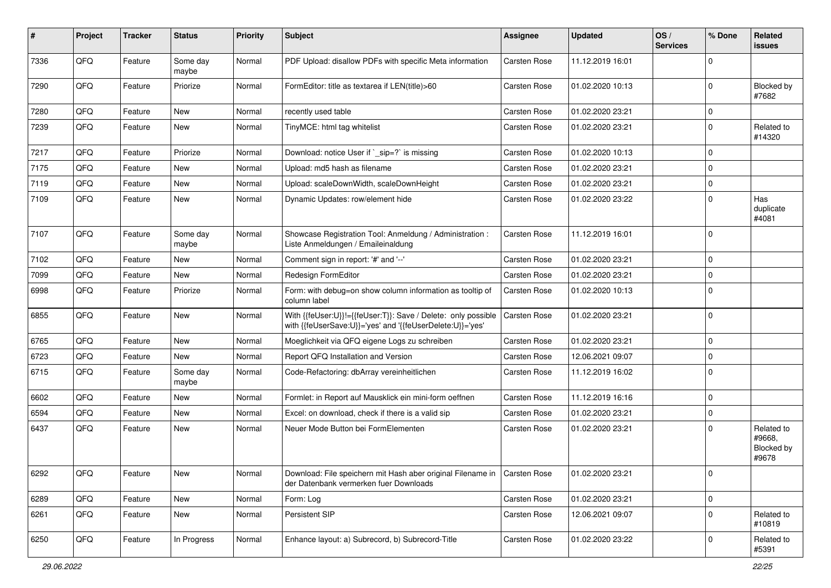| $\sharp$ | Project | <b>Tracker</b> | <b>Status</b>     | <b>Priority</b> | <b>Subject</b>                                                                                                             | <b>Assignee</b> | <b>Updated</b>   | OS/<br><b>Services</b> | % Done      | Related<br>issues                           |
|----------|---------|----------------|-------------------|-----------------|----------------------------------------------------------------------------------------------------------------------------|-----------------|------------------|------------------------|-------------|---------------------------------------------|
| 7336     | QFQ     | Feature        | Some day<br>maybe | Normal          | PDF Upload: disallow PDFs with specific Meta information                                                                   | Carsten Rose    | 11.12.2019 16:01 |                        | $\Omega$    |                                             |
| 7290     | QFQ     | Feature        | Priorize          | Normal          | FormEditor: title as textarea if LEN(title)>60                                                                             | Carsten Rose    | 01.02.2020 10:13 |                        | $\Omega$    | Blocked by<br>#7682                         |
| 7280     | QFQ     | Feature        | <b>New</b>        | Normal          | recently used table                                                                                                        | Carsten Rose    | 01.02.2020 23:21 |                        | 0           |                                             |
| 7239     | QFQ     | Feature        | New               | Normal          | TinyMCE: html tag whitelist                                                                                                | Carsten Rose    | 01.02.2020 23:21 |                        | $\mathbf 0$ | Related to<br>#14320                        |
| 7217     | QFQ     | Feature        | Priorize          | Normal          | Download: notice User if `_sip=?` is missing                                                                               | Carsten Rose    | 01.02.2020 10:13 |                        | $\Omega$    |                                             |
| 7175     | QFQ     | Feature        | New               | Normal          | Upload: md5 hash as filename                                                                                               | Carsten Rose    | 01.02.2020 23:21 |                        | $\mathbf 0$ |                                             |
| 7119     | QFQ     | Feature        | New               | Normal          | Upload: scaleDownWidth, scaleDownHeight                                                                                    | Carsten Rose    | 01.02.2020 23:21 |                        | $\mathbf 0$ |                                             |
| 7109     | QFQ     | Feature        | New               | Normal          | Dynamic Updates: row/element hide                                                                                          | Carsten Rose    | 01.02.2020 23:22 |                        | $\Omega$    | Has<br>duplicate<br>#4081                   |
| 7107     | QFQ     | Feature        | Some day<br>maybe | Normal          | Showcase Registration Tool: Anmeldung / Administration :<br>Liste Anmeldungen / Emaileinaldung                             | Carsten Rose    | 11.12.2019 16:01 |                        | $\Omega$    |                                             |
| 7102     | QFQ     | Feature        | New               | Normal          | Comment sign in report: '#' and '--'                                                                                       | Carsten Rose    | 01.02.2020 23:21 |                        | $\Omega$    |                                             |
| 7099     | QFQ     | Feature        | New               | Normal          | Redesign FormEditor                                                                                                        | Carsten Rose    | 01.02.2020 23:21 |                        | $\Omega$    |                                             |
| 6998     | QFQ     | Feature        | Priorize          | Normal          | Form: with debug=on show column information as tooltip of<br>column label                                                  | Carsten Rose    | 01.02.2020 10:13 |                        | $\Omega$    |                                             |
| 6855     | QFQ     | Feature        | <b>New</b>        | Normal          | With {{feUser:U}}!={{feUser:T}}: Save / Delete: only possible<br>with {{feUserSave:U}}='yes' and '{{feUserDelete:U}}='yes' | Carsten Rose    | 01.02.2020 23:21 |                        | $\mathbf 0$ |                                             |
| 6765     | QFQ     | Feature        | New               | Normal          | Moeglichkeit via QFQ eigene Logs zu schreiben                                                                              | Carsten Rose    | 01.02.2020 23:21 |                        | $\Omega$    |                                             |
| 6723     | QFQ     | Feature        | New               | Normal          | Report QFQ Installation and Version                                                                                        | Carsten Rose    | 12.06.2021 09:07 |                        | $\mathbf 0$ |                                             |
| 6715     | QFQ     | Feature        | Some day<br>maybe | Normal          | Code-Refactoring: dbArray vereinheitlichen                                                                                 | Carsten Rose    | 11.12.2019 16:02 |                        | $\Omega$    |                                             |
| 6602     | QFQ     | Feature        | <b>New</b>        | Normal          | Formlet: in Report auf Mausklick ein mini-form oeffnen                                                                     | Carsten Rose    | 11.12.2019 16:16 |                        | $\mathbf 0$ |                                             |
| 6594     | QFQ     | Feature        | New               | Normal          | Excel: on download, check if there is a valid sip                                                                          | Carsten Rose    | 01.02.2020 23:21 |                        | $\mathbf 0$ |                                             |
| 6437     | QFQ     | Feature        | New               | Normal          | Neuer Mode Button bei FormElementen                                                                                        | Carsten Rose    | 01.02.2020 23:21 |                        | $\Omega$    | Related to<br>#9668,<br>Blocked by<br>#9678 |
| 6292     | QFQ     | Feature        | New               | Normal          | Download: File speichern mit Hash aber original Filename in   Carsten Rose<br>der Datenbank vermerken fuer Downloads       |                 | 01.02.2020 23:21 |                        | 0           |                                             |
| 6289     | QFQ     | Feature        | New               | Normal          | Form: Log                                                                                                                  | Carsten Rose    | 01.02.2020 23:21 |                        | 0           |                                             |
| 6261     | QFQ     | Feature        | New               | Normal          | Persistent SIP                                                                                                             | Carsten Rose    | 12.06.2021 09:07 |                        | $\Omega$    | Related to<br>#10819                        |
| 6250     | QFG     | Feature        | In Progress       | Normal          | Enhance layout: a) Subrecord, b) Subrecord-Title                                                                           | Carsten Rose    | 01.02.2020 23:22 |                        | 0           | Related to<br>#5391                         |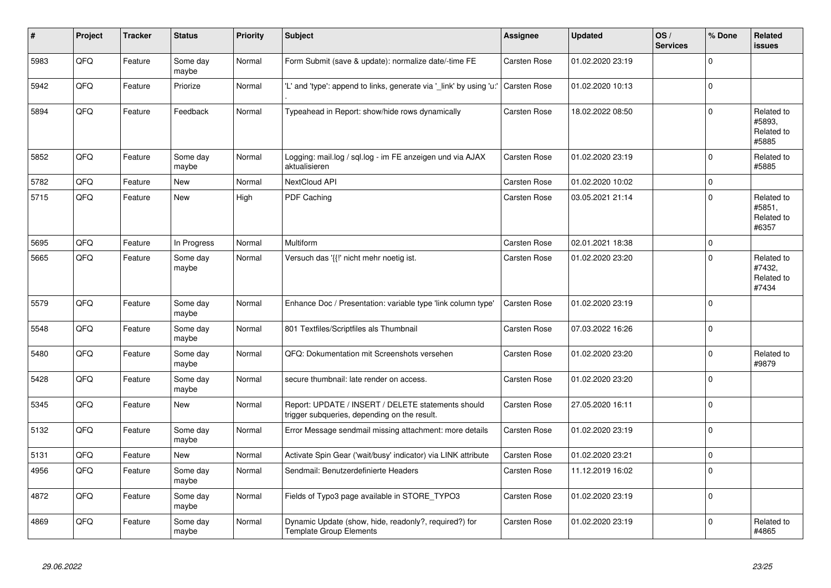| #    | Project | <b>Tracker</b> | <b>Status</b>     | <b>Priority</b> | <b>Subject</b>                                                                                     | Assignee            | <b>Updated</b>   | OS/<br><b>Services</b> | % Done      | Related<br>issues                           |
|------|---------|----------------|-------------------|-----------------|----------------------------------------------------------------------------------------------------|---------------------|------------------|------------------------|-------------|---------------------------------------------|
| 5983 | QFQ     | Feature        | Some day<br>maybe | Normal          | Form Submit (save & update): normalize date/-time FE                                               | <b>Carsten Rose</b> | 01.02.2020 23:19 |                        | $\Omega$    |                                             |
| 5942 | QFQ     | Feature        | Priorize          | Normal          | 'L' and 'type': append to links, generate via 'link' by using 'u:                                  | Carsten Rose        | 01.02.2020 10:13 |                        | $\Omega$    |                                             |
| 5894 | QFQ     | Feature        | Feedback          | Normal          | Typeahead in Report: show/hide rows dynamically                                                    | <b>Carsten Rose</b> | 18.02.2022 08:50 |                        | $\Omega$    | Related to<br>#5893,<br>Related to<br>#5885 |
| 5852 | QFQ     | Feature        | Some day<br>maybe | Normal          | Logging: mail.log / sql.log - im FE anzeigen und via AJAX<br>aktualisieren                         | Carsten Rose        | 01.02.2020 23:19 |                        | $\Omega$    | Related to<br>#5885                         |
| 5782 | QFQ     | Feature        | <b>New</b>        | Normal          | <b>NextCloud API</b>                                                                               | Carsten Rose        | 01.02.2020 10:02 |                        | 0           |                                             |
| 5715 | QFQ     | Feature        | New               | High            | PDF Caching                                                                                        | Carsten Rose        | 03.05.2021 21:14 |                        | $\Omega$    | Related to<br>#5851,<br>Related to<br>#6357 |
| 5695 | QFQ     | Feature        | In Progress       | Normal          | Multiform                                                                                          | Carsten Rose        | 02.01.2021 18:38 |                        | $\Omega$    |                                             |
| 5665 | QFQ     | Feature        | Some day<br>maybe | Normal          | Versuch das '{{!' nicht mehr noetig ist.                                                           | <b>Carsten Rose</b> | 01.02.2020 23:20 |                        | $\Omega$    | Related to<br>#7432,<br>Related to<br>#7434 |
| 5579 | QFQ     | Feature        | Some day<br>maybe | Normal          | Enhance Doc / Presentation: variable type 'link column type'                                       | Carsten Rose        | 01.02.2020 23:19 |                        | $\mathbf 0$ |                                             |
| 5548 | QFQ     | Feature        | Some day<br>maybe | Normal          | 801 Textfiles/Scriptfiles als Thumbnail                                                            | <b>Carsten Rose</b> | 07.03.2022 16:26 |                        | 0           |                                             |
| 5480 | QFQ     | Feature        | Some day<br>maybe | Normal          | QFQ: Dokumentation mit Screenshots versehen                                                        | <b>Carsten Rose</b> | 01.02.2020 23:20 |                        | $\Omega$    | Related to<br>#9879                         |
| 5428 | QFQ     | Feature        | Some day<br>maybe | Normal          | secure thumbnail: late render on access.                                                           | Carsten Rose        | 01.02.2020 23:20 |                        | $\Omega$    |                                             |
| 5345 | QFQ     | Feature        | New               | Normal          | Report: UPDATE / INSERT / DELETE statements should<br>trigger subgueries, depending on the result. | Carsten Rose        | 27.05.2020 16:11 |                        | $\Omega$    |                                             |
| 5132 | QFQ     | Feature        | Some day<br>maybe | Normal          | Error Message sendmail missing attachment: more details                                            | Carsten Rose        | 01.02.2020 23:19 |                        | $\mathbf 0$ |                                             |
| 5131 | QFQ     | Feature        | New               | Normal          | Activate Spin Gear ('wait/busy' indicator) via LINK attribute                                      | <b>Carsten Rose</b> | 01.02.2020 23:21 |                        | $\mathbf 0$ |                                             |
| 4956 | QFQ     | Feature        | Some day<br>maybe | Normal          | Sendmail: Benutzerdefinierte Headers                                                               | <b>Carsten Rose</b> | 11.12.2019 16:02 |                        | $\Omega$    |                                             |
| 4872 | QFQ     | Feature        | Some day<br>maybe | Normal          | Fields of Typo3 page available in STORE_TYPO3                                                      | Carsten Rose        | 01.02.2020 23:19 |                        | $\mathbf 0$ |                                             |
| 4869 | QFQ     | Feature        | Some day<br>maybe | Normal          | Dynamic Update (show, hide, readonly?, required?) for<br><b>Template Group Elements</b>            | Carsten Rose        | 01.02.2020 23:19 |                        | $\Omega$    | Related to<br>#4865                         |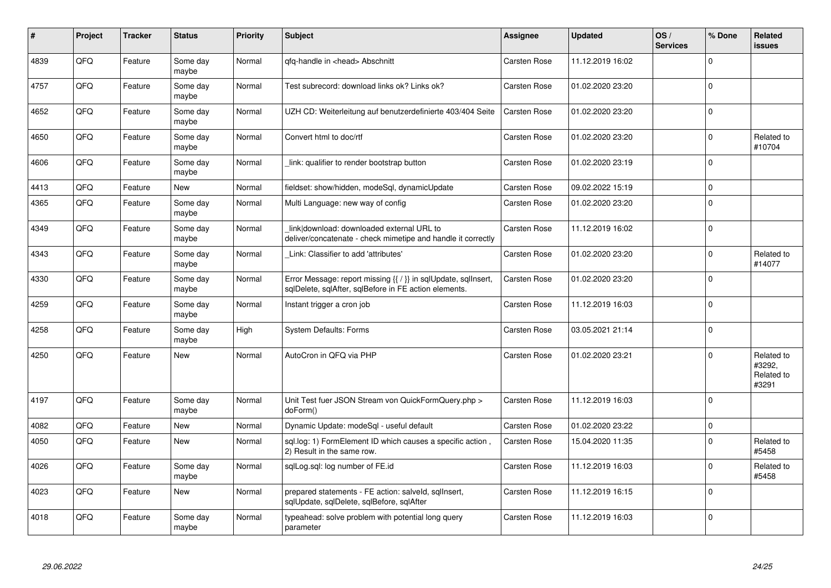| #    | Project | <b>Tracker</b> | <b>Status</b>     | <b>Priority</b> | <b>Subject</b>                                                                                                          | Assignee            | <b>Updated</b>   | OS/<br><b>Services</b> | % Done   | Related<br>issues                           |
|------|---------|----------------|-------------------|-----------------|-------------------------------------------------------------------------------------------------------------------------|---------------------|------------------|------------------------|----------|---------------------------------------------|
| 4839 | QFQ     | Feature        | Some day<br>maybe | Normal          | gfg-handle in <head> Abschnitt</head>                                                                                   | <b>Carsten Rose</b> | 11.12.2019 16:02 |                        | $\Omega$ |                                             |
| 4757 | QFQ     | Feature        | Some day<br>maybe | Normal          | Test subrecord: download links ok? Links ok?                                                                            | <b>Carsten Rose</b> | 01.02.2020 23:20 |                        | $\Omega$ |                                             |
| 4652 | QFQ     | Feature        | Some day<br>maybe | Normal          | UZH CD: Weiterleitung auf benutzerdefinierte 403/404 Seite                                                              | Carsten Rose        | 01.02.2020 23:20 |                        | $\Omega$ |                                             |
| 4650 | QFQ     | Feature        | Some day<br>maybe | Normal          | Convert html to doc/rtf                                                                                                 | Carsten Rose        | 01.02.2020 23:20 |                        | $\Omega$ | Related to<br>#10704                        |
| 4606 | QFQ     | Feature        | Some day<br>maybe | Normal          | link: qualifier to render bootstrap button                                                                              | <b>Carsten Rose</b> | 01.02.2020 23:19 |                        | $\Omega$ |                                             |
| 4413 | QFQ     | Feature        | New               | Normal          | fieldset: show/hidden, modeSql, dynamicUpdate                                                                           | Carsten Rose        | 09.02.2022 15:19 |                        | $\Omega$ |                                             |
| 4365 | QFQ     | Feature        | Some day<br>maybe | Normal          | Multi Language: new way of config                                                                                       | <b>Carsten Rose</b> | 01.02.2020 23:20 |                        | $\Omega$ |                                             |
| 4349 | QFQ     | Feature        | Some day<br>maybe | Normal          | link download: downloaded external URL to<br>deliver/concatenate - check mimetipe and handle it correctly               | Carsten Rose        | 11.12.2019 16:02 |                        | $\Omega$ |                                             |
| 4343 | QFQ     | Feature        | Some day<br>maybe | Normal          | Link: Classifier to add 'attributes'                                                                                    | <b>Carsten Rose</b> | 01.02.2020 23:20 |                        | $\Omega$ | Related to<br>#14077                        |
| 4330 | QFQ     | Feature        | Some day<br>maybe | Normal          | Error Message: report missing {{ / }} in sqlUpdate, sqlInsert,<br>sglDelete, sglAfter, sglBefore in FE action elements. | <b>Carsten Rose</b> | 01.02.2020 23:20 |                        | $\Omega$ |                                             |
| 4259 | QFQ     | Feature        | Some day<br>maybe | Normal          | Instant trigger a cron job                                                                                              | Carsten Rose        | 11.12.2019 16:03 |                        | $\Omega$ |                                             |
| 4258 | QFQ     | Feature        | Some day<br>maybe | High            | <b>System Defaults: Forms</b>                                                                                           | Carsten Rose        | 03.05.2021 21:14 |                        | $\Omega$ |                                             |
| 4250 | QFQ     | Feature        | <b>New</b>        | Normal          | AutoCron in QFQ via PHP                                                                                                 | <b>Carsten Rose</b> | 01.02.2020 23:21 |                        | $\Omega$ | Related to<br>#3292,<br>Related to<br>#3291 |
| 4197 | QFQ     | Feature        | Some day<br>maybe | Normal          | Unit Test fuer JSON Stream von QuickFormQuery.php ><br>doForm()                                                         | Carsten Rose        | 11.12.2019 16:03 |                        | $\Omega$ |                                             |
| 4082 | QFQ     | Feature        | <b>New</b>        | Normal          | Dynamic Update: modeSql - useful default                                                                                | <b>Carsten Rose</b> | 01.02.2020 23:22 |                        | 0        |                                             |
| 4050 | QFQ     | Feature        | <b>New</b>        | Normal          | sgl.log: 1) FormElement ID which causes a specific action,<br>2) Result in the same row.                                | <b>Carsten Rose</b> | 15.04.2020 11:35 |                        | $\Omega$ | Related to<br>#5458                         |
| 4026 | QFQ     | Feature        | Some day<br>maybe | Normal          | sqlLog.sql: log number of FE.id                                                                                         | <b>Carsten Rose</b> | 11.12.2019 16:03 |                        | $\Omega$ | Related to<br>#5458                         |
| 4023 | QFQ     | Feature        | <b>New</b>        | Normal          | prepared statements - FE action: salveld, sqllnsert,<br>sqlUpdate, sqlDelete, sqlBefore, sqlAfter                       | Carsten Rose        | 11.12.2019 16:15 |                        | $\Omega$ |                                             |
| 4018 | QFQ     | Feature        | Some day<br>maybe | Normal          | typeahead: solve problem with potential long query<br>parameter                                                         | Carsten Rose        | 11.12.2019 16:03 |                        | $\Omega$ |                                             |